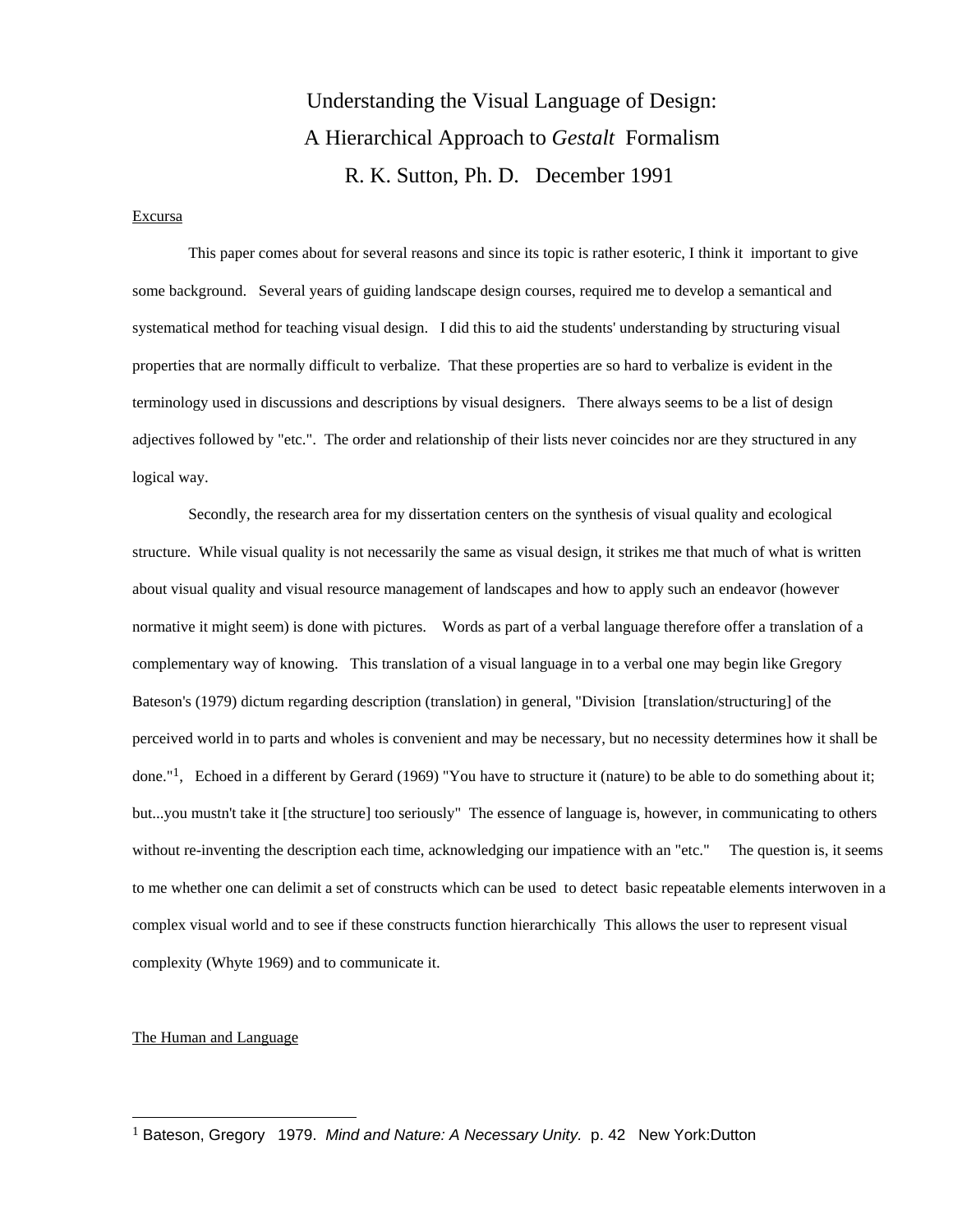# Understanding the Visual Language of Design: A Hierarchical Approach to *Gestalt* Formalism R. K. Sutton, Ph. D. December 1991

#### Excursa

 This paper comes about for several reasons and since its topic is rather esoteric, I think it important to give some background. Several years of guiding landscape design courses, required me to develop a semantical and systematical method for teaching visual design. I did this to aid the students' understanding by structuring visual properties that are normally difficult to verbalize. That these properties are so hard to verbalize is evident in the terminology used in discussions and descriptions by visual designers. There always seems to be a list of design adjectives followed by "etc.". The order and relationship of their lists never coincides nor are they structured in any logical way.

 Secondly, the research area for my dissertation centers on the synthesis of visual quality and ecological structure. While visual quality is not necessarily the same as visual design, it strikes me that much of what is written about visual quality and visual resource management of landscapes and how to apply such an endeavor (however normative it might seem) is done with pictures. Words as part of a verbal language therefore offer a translation of a complementary way of knowing. This translation of a visual language in to a verbal one may begin like Gregory Bateson's (1979) dictum regarding description (translation) in general, "Division [translation/structuring] of the perceived world in to parts and wholes is convenient and may be necessary, but no necessity determines how it shall be done."1, Echoed in a different by Gerard (1969) "You have to structure it (nature) to be able to do something about it; but...you mustn't take it [the structure] too seriously" The essence of language is, however, in communicating to others without re-inventing the description each time, acknowledging our impatience with an "etc." The question is, it seems to me whether one can delimit a set of constructs which can be used to detect basic repeatable elements interwoven in a complex visual world and to see if these constructs function hierarchically This allows the user to represent visual complexity (Whyte 1969) and to communicate it.

#### The Human and Language

 $\overline{a}$ 

<sup>1</sup> Bateson, Gregory 1979. *Mind and Nature: A Necessary Unity.* p. 42 New York:Dutton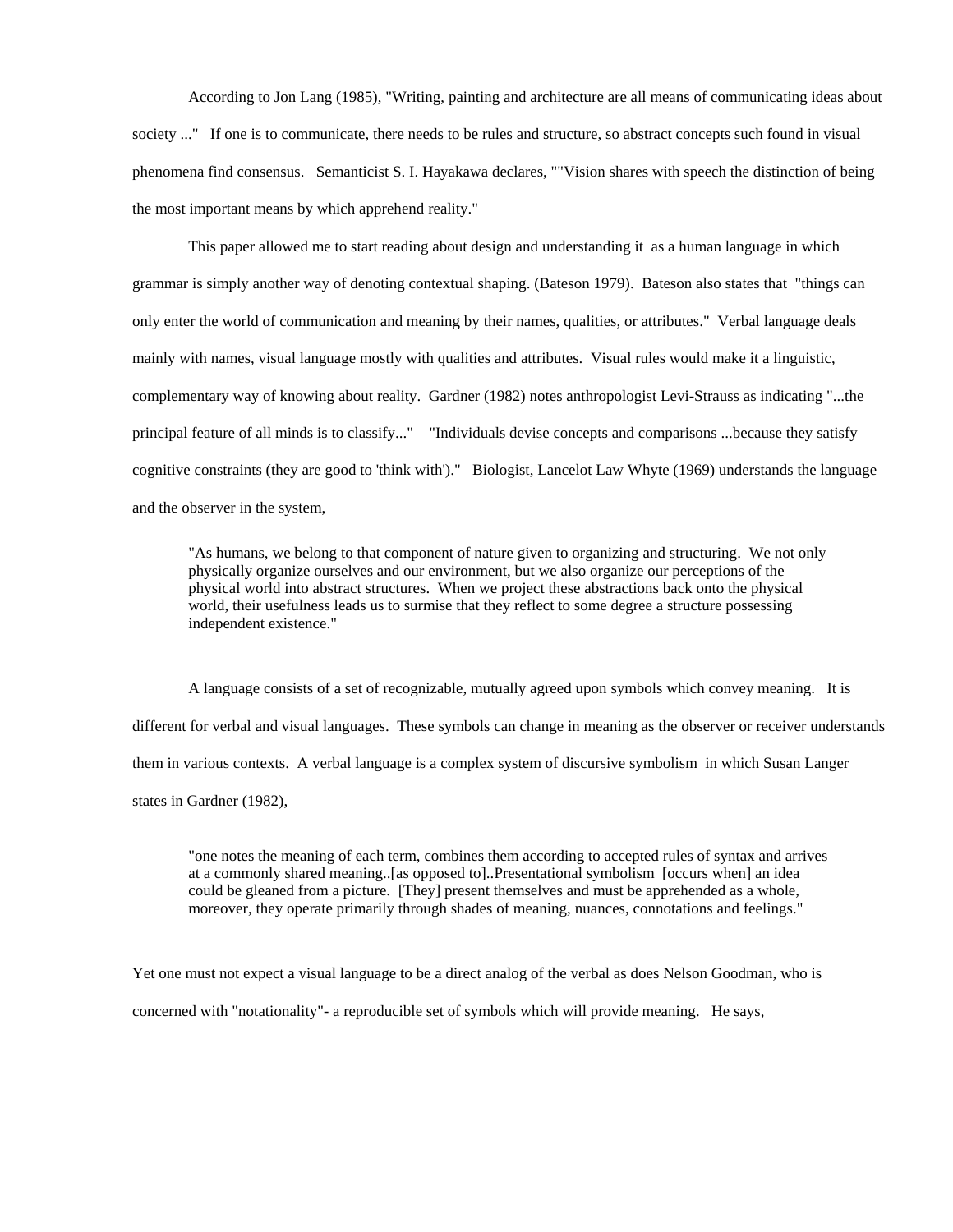According to Jon Lang (1985), "Writing, painting and architecture are all means of communicating ideas about society ..." If one is to communicate, there needs to be rules and structure, so abstract concepts such found in visual phenomena find consensus. Semanticist S. I. Hayakawa declares, ""Vision shares with speech the distinction of being the most important means by which apprehend reality."

 This paper allowed me to start reading about design and understanding it as a human language in which grammar is simply another way of denoting contextual shaping. (Bateson 1979). Bateson also states that "things can only enter the world of communication and meaning by their names, qualities, or attributes." Verbal language deals mainly with names, visual language mostly with qualities and attributes. Visual rules would make it a linguistic, complementary way of knowing about reality. Gardner (1982) notes anthropologist Levi-Strauss as indicating "...the principal feature of all minds is to classify..." "Individuals devise concepts and comparisons ...because they satisfy cognitive constraints (they are good to 'think with')." Biologist, Lancelot Law Whyte (1969) understands the language and the observer in the system,

"As humans, we belong to that component of nature given to organizing and structuring. We not only physically organize ourselves and our environment, but we also organize our perceptions of the physical world into abstract structures. When we project these abstractions back onto the physical world, their usefulness leads us to surmise that they reflect to some degree a structure possessing independent existence."

 A language consists of a set of recognizable, mutually agreed upon symbols which convey meaning. It is different for verbal and visual languages. These symbols can change in meaning as the observer or receiver understands them in various contexts. A verbal language is a complex system of discursive symbolism in which Susan Langer states in Gardner (1982),

"one notes the meaning of each term, combines them according to accepted rules of syntax and arrives at a commonly shared meaning..[as opposed to]..Presentational symbolism [occurs when] an idea could be gleaned from a picture. [They] present themselves and must be apprehended as a whole, moreover, they operate primarily through shades of meaning, nuances, connotations and feelings."

Yet one must not expect a visual language to be a direct analog of the verbal as does Nelson Goodman, who is concerned with "notationality"- a reproducible set of symbols which will provide meaning. He says,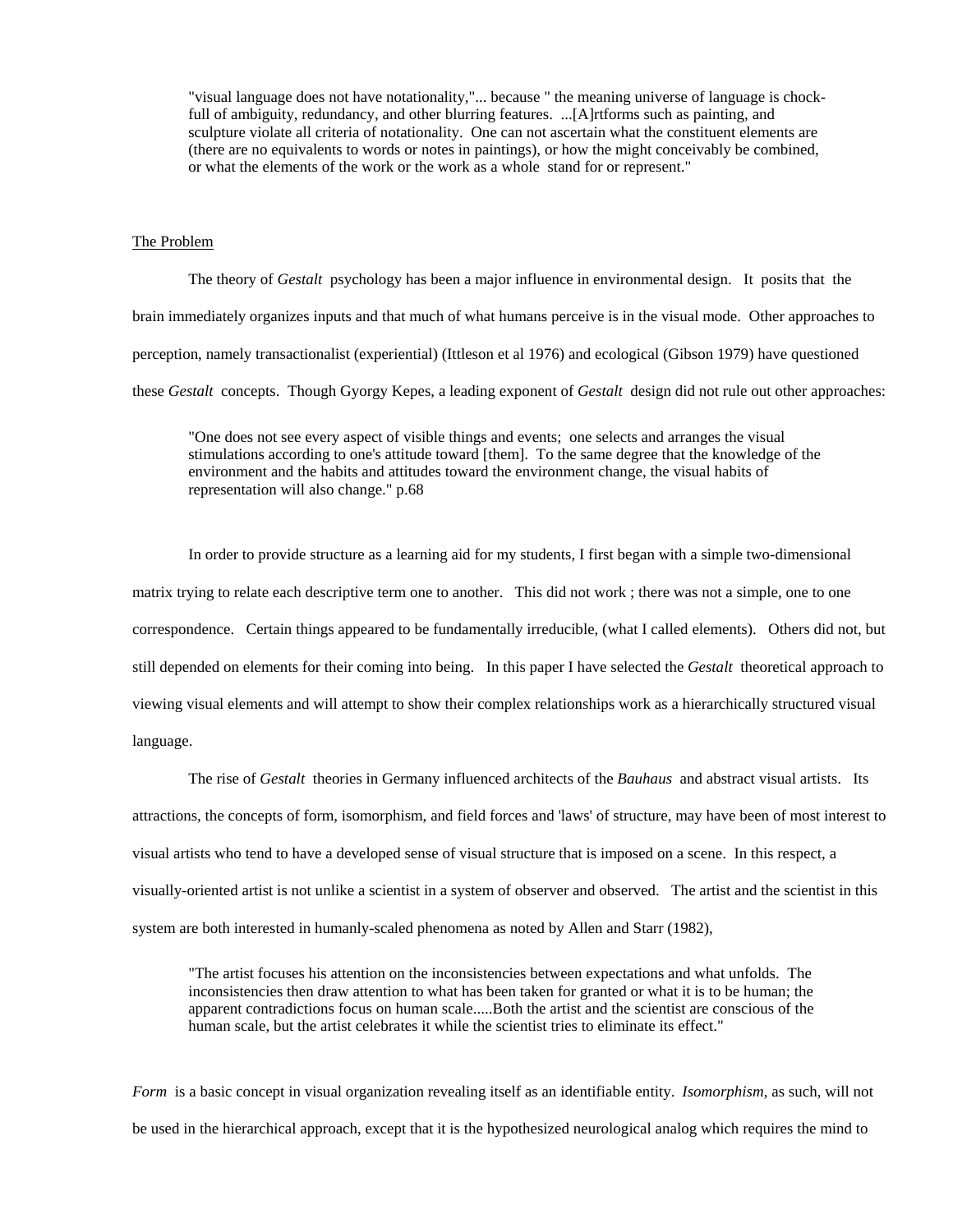"visual language does not have notationality,"... because " the meaning universe of language is chockfull of ambiguity, redundancy, and other blurring features. ...[A]rtforms such as painting, and sculpture violate all criteria of notationality. One can not ascertain what the constituent elements are (there are no equivalents to words or notes in paintings), or how the might conceivably be combined, or what the elements of the work or the work as a whole stand for or represent."

#### The Problem

 The theory of *Gestalt* psychology has been a major influence in environmental design. It posits that the brain immediately organizes inputs and that much of what humans perceive is in the visual mode. Other approaches to perception, namely transactionalist (experiential) (Ittleson et al 1976) and ecological (Gibson 1979) have questioned these *Gestalt* concepts. Though Gyorgy Kepes, a leading exponent of *Gestalt* design did not rule out other approaches:

"One does not see every aspect of visible things and events; one selects and arranges the visual stimulations according to one's attitude toward [them]. To the same degree that the knowledge of the environment and the habits and attitudes toward the environment change, the visual habits of representation will also change." p.68

 In order to provide structure as a learning aid for my students, I first began with a simple two-dimensional matrix trying to relate each descriptive term one to another. This did not work ; there was not a simple, one to one correspondence. Certain things appeared to be fundamentally irreducible, (what I called elements). Others did not, but still depended on elements for their coming into being. In this paper I have selected the *Gestalt* theoretical approach to viewing visual elements and will attempt to show their complex relationships work as a hierarchically structured visual language.

 The rise of *Gestalt* theories in Germany influenced architects of the *Bauhaus* and abstract visual artists. Its attractions, the concepts of form, isomorphism, and field forces and 'laws' of structure, may have been of most interest to visual artists who tend to have a developed sense of visual structure that is imposed on a scene. In this respect, a visually-oriented artist is not unlike a scientist in a system of observer and observed. The artist and the scientist in this system are both interested in humanly-scaled phenomena as noted by Allen and Starr (1982),

"The artist focuses his attention on the inconsistencies between expectations and what unfolds. The inconsistencies then draw attention to what has been taken for granted or what it is to be human; the apparent contradictions focus on human scale.....Both the artist and the scientist are conscious of the human scale, but the artist celebrates it while the scientist tries to eliminate its effect."

*Form* is a basic concept in visual organization revealing itself as an identifiable entity. *Isomorphism*, as such, will not be used in the hierarchical approach, except that it is the hypothesized neurological analog which requires the mind to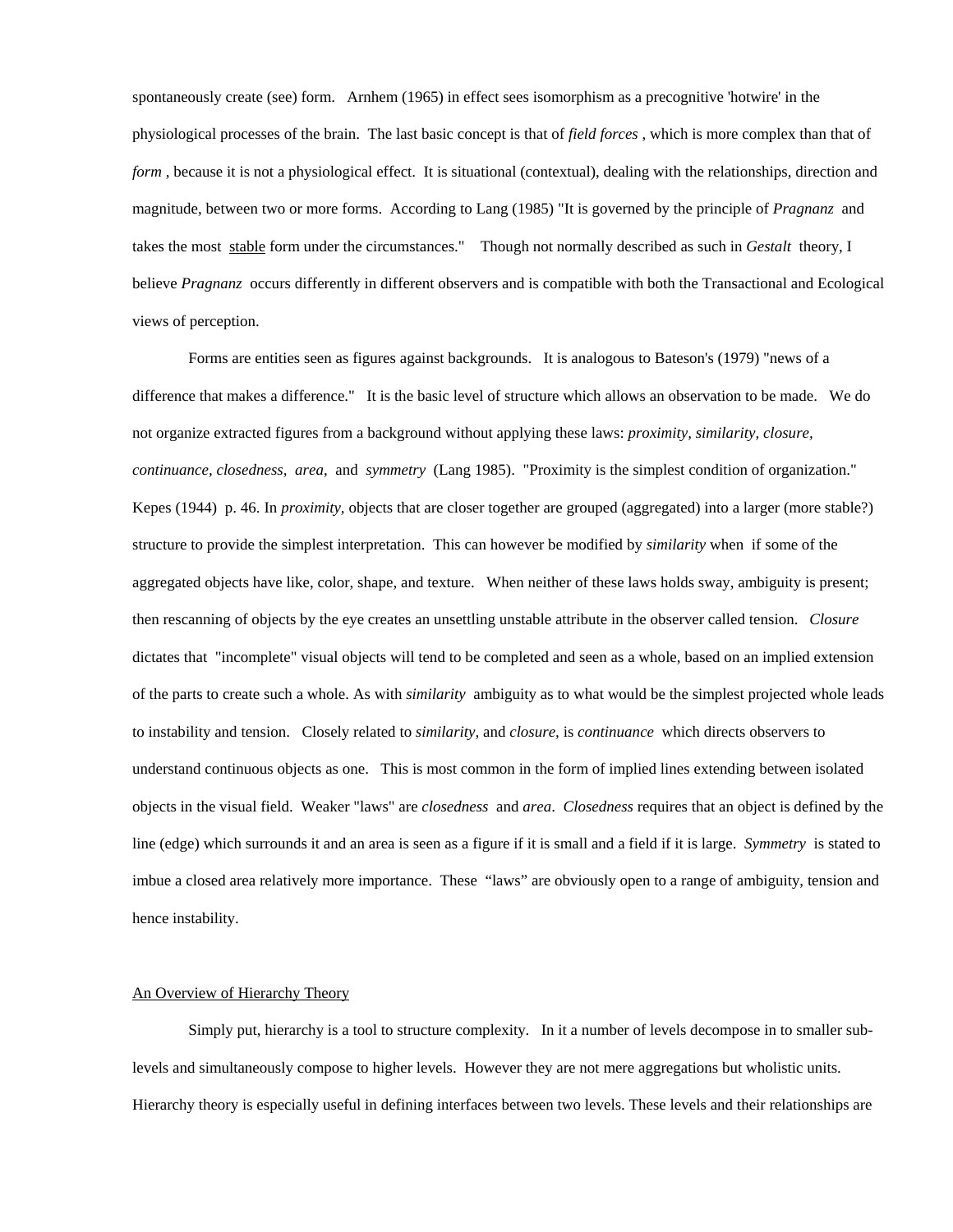spontaneously create (see) form. Arnhem (1965) in effect sees isomorphism as a precognitive 'hotwire' in the physiological processes of the brain. The last basic concept is that of *field forces* , which is more complex than that of *form* , because it is not a physiological effect. It is situational (contextual), dealing with the relationships, direction and magnitude, between two or more forms. According to Lang (1985) "It is governed by the principle of *Pragnanz* and takes the most stable form under the circumstances." Though not normally described as such in *Gestalt* theory, I believe *Pragnanz* occurs differently in different observers and is compatible with both the Transactional and Ecological views of perception.

 Forms are entities seen as figures against backgrounds. It is analogous to Bateson's (1979) "news of a difference that makes a difference." It is the basic level of structure which allows an observation to be made. We do not organize extracted figures from a background without applying these laws: *proximity, similarity, closure, continuance, closedness, area,* and *symmetry* (Lang 1985). "Proximity is the simplest condition of organization." Kepes (1944) p. 46. In *proximity*, objects that are closer together are grouped (aggregated) into a larger (more stable?) structure to provide the simplest interpretation. This can however be modified by *similarity* when if some of the aggregated objects have like, color, shape, and texture. When neither of these laws holds sway, ambiguity is present; then rescanning of objects by the eye creates an unsettling unstable attribute in the observer called tension. *Closure*  dictates that "incomplete" visual objects will tend to be completed and seen as a whole, based on an implied extension of the parts to create such a whole. As with *similarity* ambiguity as to what would be the simplest projected whole leads to instability and tension. Closely related to *similarity,* and *closure,* is *continuance* which directs observers to understand continuous objects as one. This is most common in the form of implied lines extending between isolated objects in the visual field. Weaker "laws" are *closedness* and *area*. *Closedness* requires that an object is defined by the line (edge) which surrounds it and an area is seen as a figure if it is small and a field if it is large. *Symmetry* is stated to imbue a closed area relatively more importance. These "laws" are obviously open to a range of ambiguity, tension and hence instability.

## An Overview of Hierarchy Theory

 Simply put, hierarchy is a tool to structure complexity. In it a number of levels decompose in to smaller sublevels and simultaneously compose to higher levels. However they are not mere aggregations but wholistic units. Hierarchy theory is especially useful in defining interfaces between two levels. These levels and their relationships are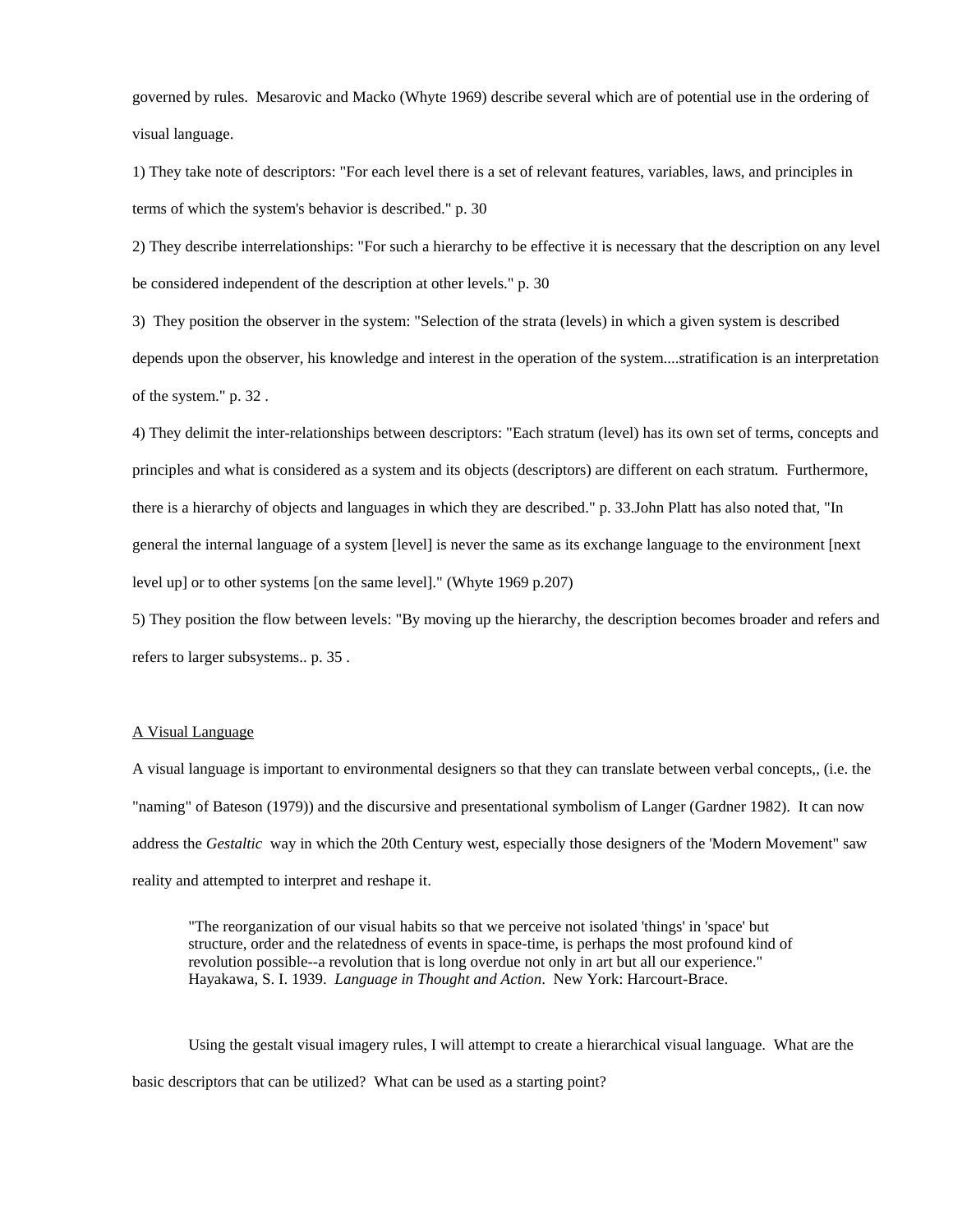governed by rules. Mesarovic and Macko (Whyte 1969) describe several which are of potential use in the ordering of visual language.

1) They take note of descriptors: "For each level there is a set of relevant features, variables, laws, and principles in terms of which the system's behavior is described." p. 30

2) They describe interrelationships: "For such a hierarchy to be effective it is necessary that the description on any level be considered independent of the description at other levels." p. 30

3) They position the observer in the system: "Selection of the strata (levels) in which a given system is described depends upon the observer, his knowledge and interest in the operation of the system....stratification is an interpretation of the system." p. 32 .

4) They delimit the inter-relationships between descriptors: "Each stratum (level) has its own set of terms, concepts and principles and what is considered as a system and its objects (descriptors) are different on each stratum. Furthermore, there is a hierarchy of objects and languages in which they are described." p. 33.John Platt has also noted that, "In general the internal language of a system [level] is never the same as its exchange language to the environment [next level up] or to other systems [on the same level]." (Whyte 1969 p.207)

5) They position the flow between levels: "By moving up the hierarchy, the description becomes broader and refers and refers to larger subsystems.. p. 35 .

### A Visual Language

A visual language is important to environmental designers so that they can translate between verbal concepts,, (i.e. the "naming" of Bateson (1979)) and the discursive and presentational symbolism of Langer (Gardner 1982). It can now address the *Gestaltic* way in which the 20th Century west, especially those designers of the 'Modern Movement" saw reality and attempted to interpret and reshape it.

"The reorganization of our visual habits so that we perceive not isolated 'things' in 'space' but structure, order and the relatedness of events in space-time, is perhaps the most profound kind of revolution possible--a revolution that is long overdue not only in art but all our experience." Hayakawa, S. I. 1939. *Language in Thought and Action*. New York: Harcourt-Brace.

 Using the gestalt visual imagery rules, I will attempt to create a hierarchical visual language. What are the basic descriptors that can be utilized? What can be used as a starting point?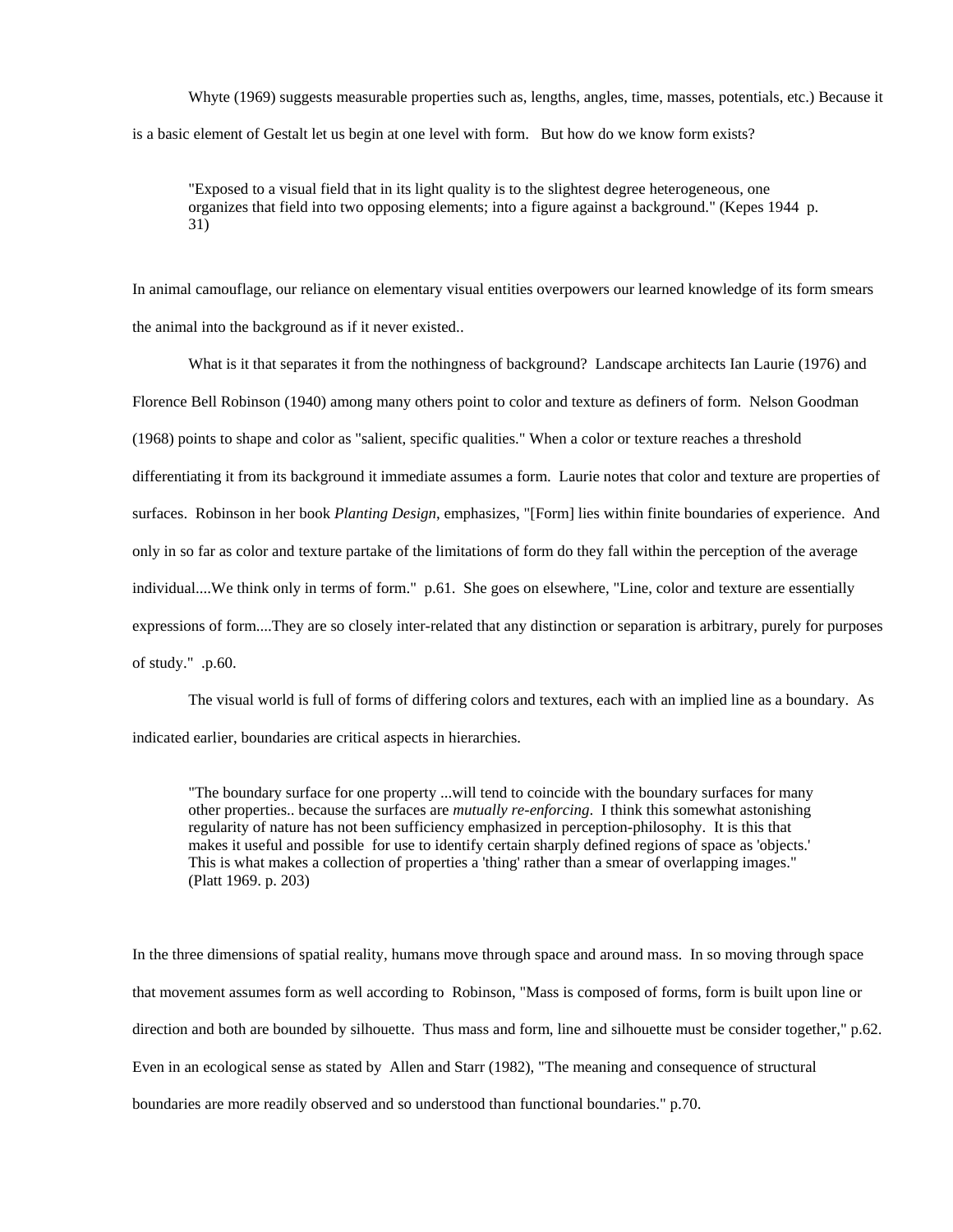Whyte (1969) suggests measurable properties such as, lengths, angles, time, masses, potentials, etc.) Because it is a basic element of Gestalt let us begin at one level with form. But how do we know form exists?

"Exposed to a visual field that in its light quality is to the slightest degree heterogeneous, one organizes that field into two opposing elements; into a figure against a background." (Kepes 1944 p. 31)

In animal camouflage, our reliance on elementary visual entities overpowers our learned knowledge of its form smears the animal into the background as if it never existed..

 What is it that separates it from the nothingness of background? Landscape architects Ian Laurie (1976) and Florence Bell Robinson (1940) among many others point to color and texture as definers of form. Nelson Goodman (1968) points to shape and color as "salient, specific qualities." When a color or texture reaches a threshold differentiating it from its background it immediate assumes a form. Laurie notes that color and texture are properties of surfaces. Robinson in her book *Planting Design*, emphasizes, "[Form] lies within finite boundaries of experience. And only in so far as color and texture partake of the limitations of form do they fall within the perception of the average individual....We think only in terms of form." p.61. She goes on elsewhere, "Line, color and texture are essentially expressions of form....They are so closely inter-related that any distinction or separation is arbitrary, purely for purposes of study." .p.60.

 The visual world is full of forms of differing colors and textures, each with an implied line as a boundary. As indicated earlier, boundaries are critical aspects in hierarchies.

"The boundary surface for one property ...will tend to coincide with the boundary surfaces for many other properties.. because the surfaces are *mutually re-enforcing*. I think this somewhat astonishing regularity of nature has not been sufficiency emphasized in perception-philosophy. It is this that makes it useful and possible for use to identify certain sharply defined regions of space as 'objects.' This is what makes a collection of properties a 'thing' rather than a smear of overlapping images." (Platt 1969. p. 203)

In the three dimensions of spatial reality, humans move through space and around mass. In so moving through space that movement assumes form as well according to Robinson, "Mass is composed of forms, form is built upon line or direction and both are bounded by silhouette. Thus mass and form, line and silhouette must be consider together," p.62. Even in an ecological sense as stated by Allen and Starr (1982), "The meaning and consequence of structural boundaries are more readily observed and so understood than functional boundaries." p.70.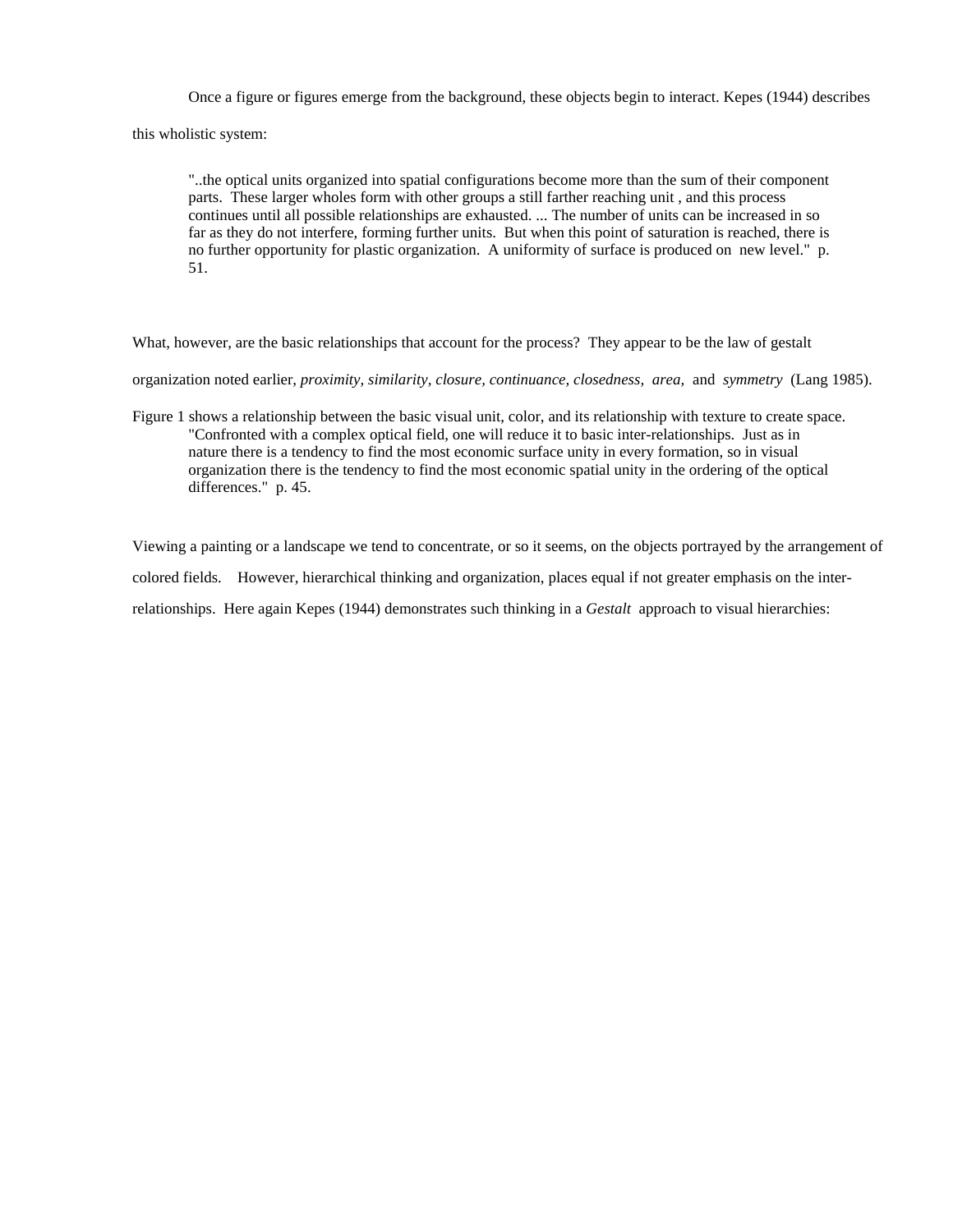Once a figure or figures emerge from the background, these objects begin to interact. Kepes (1944) describes

this wholistic system:

"..the optical units organized into spatial configurations become more than the sum of their component parts. These larger wholes form with other groups a still farther reaching unit , and this process continues until all possible relationships are exhausted. ... The number of units can be increased in so far as they do not interfere, forming further units. But when this point of saturation is reached, there is no further opportunity for plastic organization. A uniformity of surface is produced on new level." p. 51.

What, however, are the basic relationships that account for the process? They appear to be the law of gestalt

organization noted earlier, *proximity, similarity, closure, continuance, closedness, area,* and *symmetry* (Lang 1985).

Figure 1 shows a relationship between the basic visual unit, color, and its relationship with texture to create space. "Confronted with a complex optical field, one will reduce it to basic inter-relationships. Just as in nature there is a tendency to find the most economic surface unity in every formation, so in visual organization there is the tendency to find the most economic spatial unity in the ordering of the optical differences." p. 45.

Viewing a painting or a landscape we tend to concentrate, or so it seems, on the objects portrayed by the arrangement of

colored fields. However, hierarchical thinking and organization, places equal if not greater emphasis on the inter-

relationships. Here again Kepes (1944) demonstrates such thinking in a *Gestalt* approach to visual hierarchies: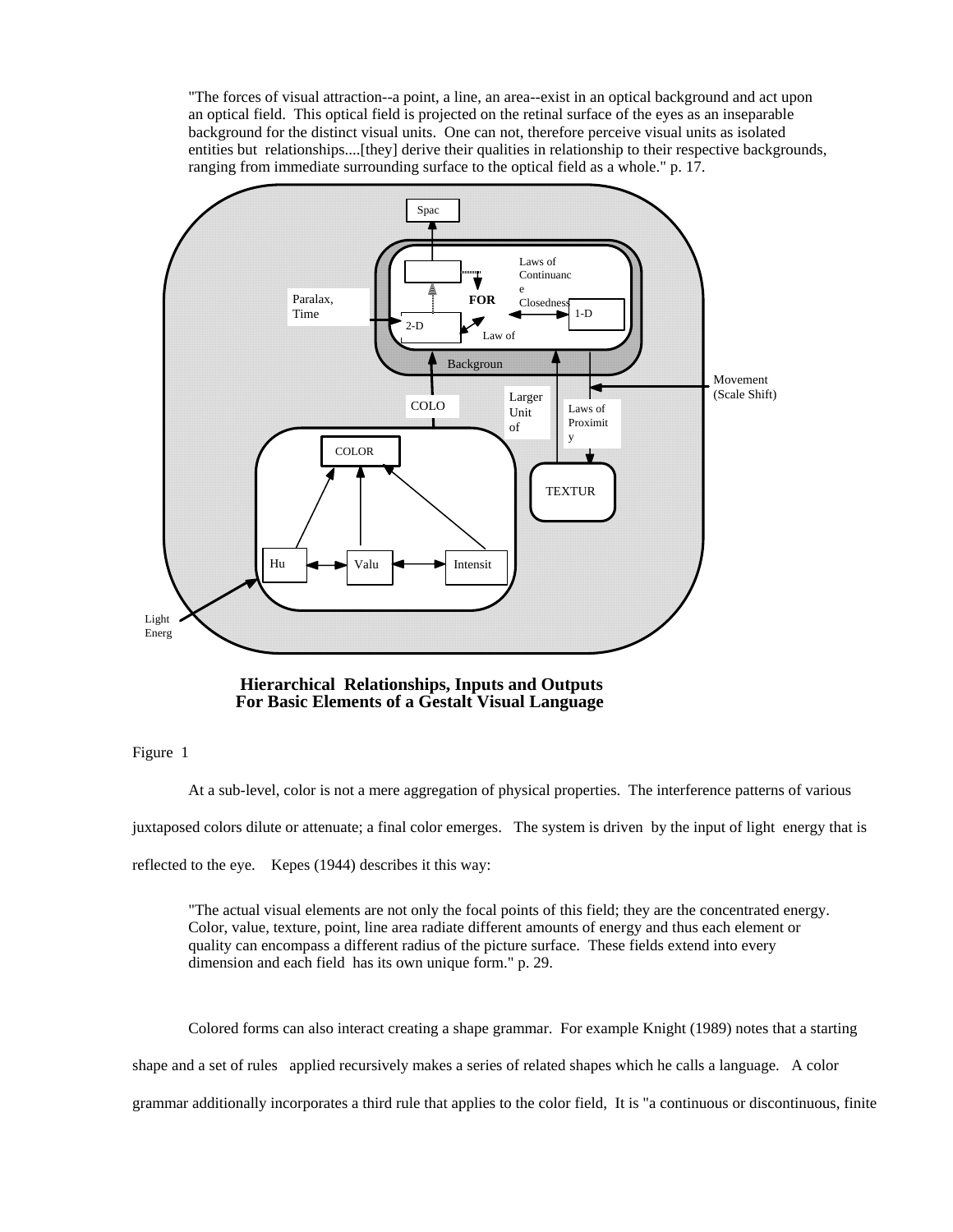"The forces of visual attraction--a point, a line, an area--exist in an optical background and act upon an optical field. This optical field is projected on the retinal surface of the eyes as an inseparable background for the distinct visual units. One can not, therefore perceive visual units as isolated entities but relationships....[they] derive their qualities in relationship to their respective backgrounds, ranging from immediate surrounding surface to the optical field as a whole." p. 17.



 **Hierarchical Relationships, Inputs and Outputs For Basic Elements of a Gestalt Visual Language**

Figure 1

At a sub-level, color is not a mere aggregation of physical properties. The interference patterns of various

juxtaposed colors dilute or attenuate; a final color emerges. The system is driven by the input of light energy that is

reflected to the eye. Kepes (1944) describes it this way:

"The actual visual elements are not only the focal points of this field; they are the concentrated energy. Color, value, texture, point, line area radiate different amounts of energy and thus each element or quality can encompass a different radius of the picture surface. These fields extend into every dimension and each field has its own unique form." p. 29.

Colored forms can also interact creating a shape grammar. For example Knight (1989) notes that a starting shape and a set of rules applied recursively makes a series of related shapes which he calls a language. A color grammar additionally incorporates a third rule that applies to the color field, It is "a continuous or discontinuous, finite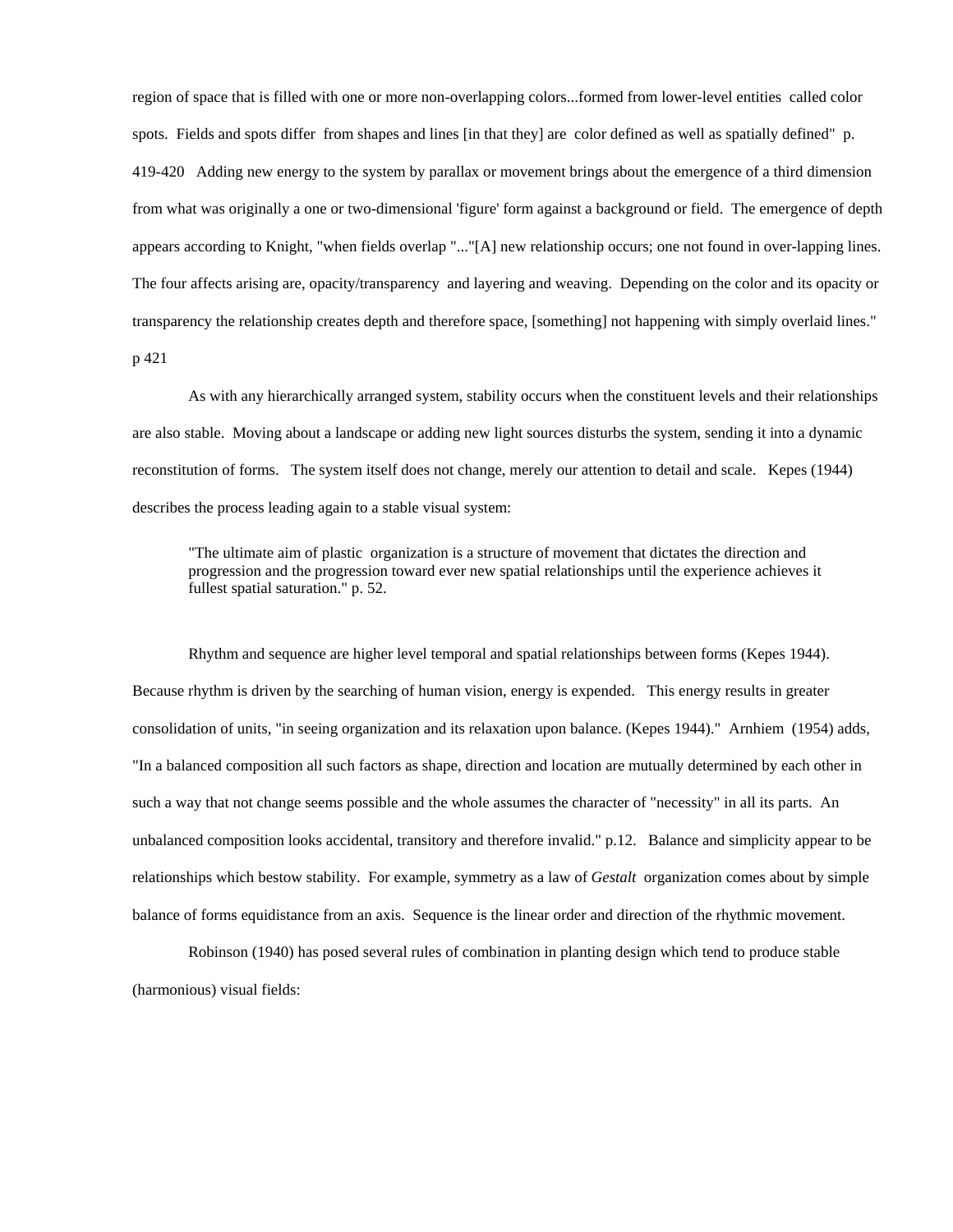region of space that is filled with one or more non-overlapping colors...formed from lower-level entities called color spots. Fields and spots differ from shapes and lines [in that they] are color defined as well as spatially defined" p. 419-420 Adding new energy to the system by parallax or movement brings about the emergence of a third dimension from what was originally a one or two-dimensional 'figure' form against a background or field. The emergence of depth appears according to Knight, "when fields overlap "..."[A] new relationship occurs; one not found in over-lapping lines. The four affects arising are, opacity/transparency and layering and weaving. Depending on the color and its opacity or transparency the relationship creates depth and therefore space, [something] not happening with simply overlaid lines." p 421

 As with any hierarchically arranged system, stability occurs when the constituent levels and their relationships are also stable. Moving about a landscape or adding new light sources disturbs the system, sending it into a dynamic reconstitution of forms. The system itself does not change, merely our attention to detail and scale. Kepes (1944) describes the process leading again to a stable visual system:

"The ultimate aim of plastic organization is a structure of movement that dictates the direction and progression and the progression toward ever new spatial relationships until the experience achieves it fullest spatial saturation." p. 52.

 Rhythm and sequence are higher level temporal and spatial relationships between forms (Kepes 1944). Because rhythm is driven by the searching of human vision, energy is expended. This energy results in greater consolidation of units, "in seeing organization and its relaxation upon balance. (Kepes 1944)." Arnhiem (1954) adds, "In a balanced composition all such factors as shape, direction and location are mutually determined by each other in such a way that not change seems possible and the whole assumes the character of "necessity" in all its parts. An unbalanced composition looks accidental, transitory and therefore invalid." p.12. Balance and simplicity appear to be relationships which bestow stability. For example, symmetry as a law of *Gestalt* organization comes about by simple balance of forms equidistance from an axis. Sequence is the linear order and direction of the rhythmic movement.

 Robinson (1940) has posed several rules of combination in planting design which tend to produce stable (harmonious) visual fields: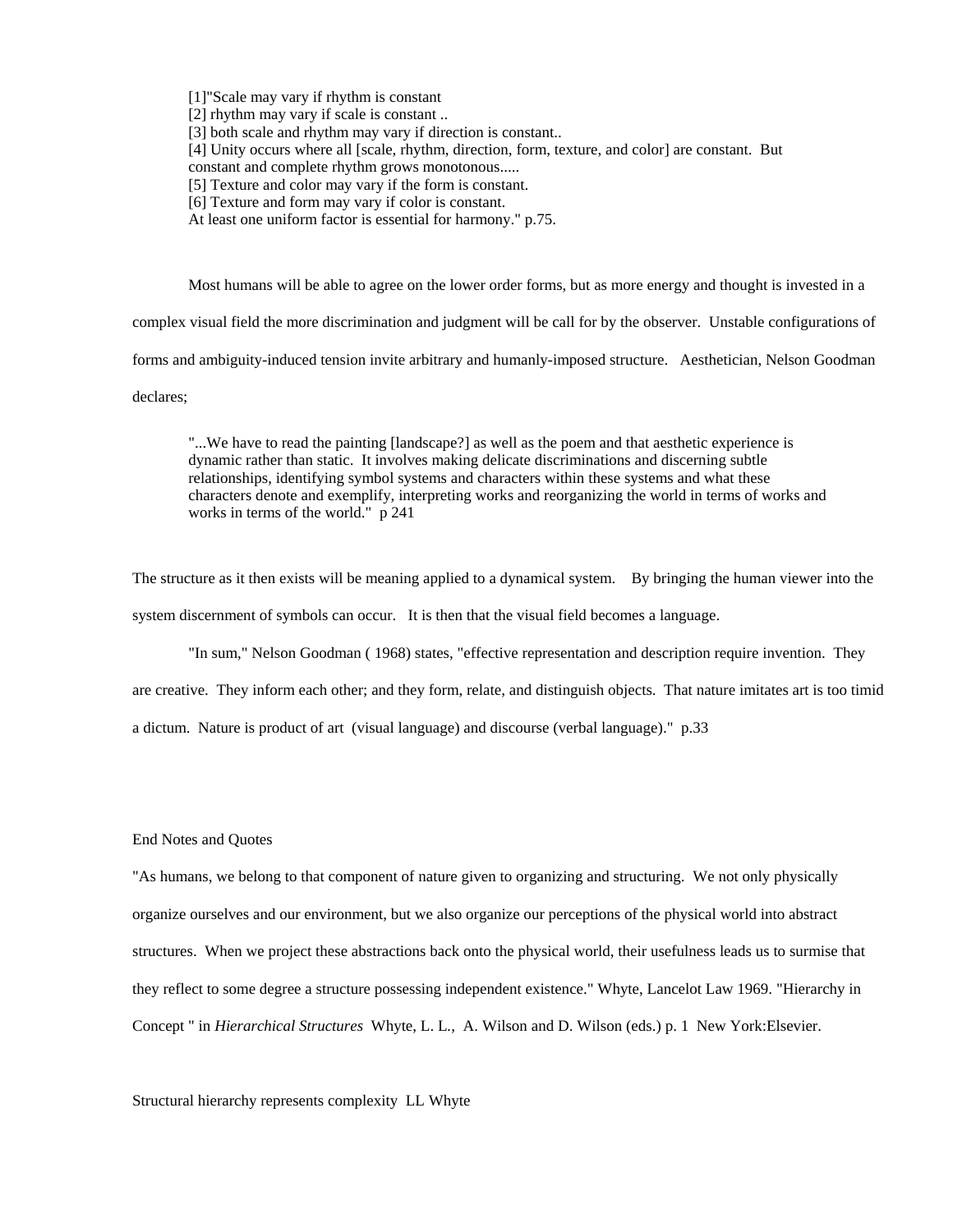[1]"Scale may vary if rhythm is constant

[2] rhythm may vary if scale is constant ...

[3] both scale and rhythm may vary if direction is constant...

[4] Unity occurs where all [scale, rhythm, direction, form, texture, and color] are constant. But

constant and complete rhythm grows monotonous.....

[5] Texture and color may vary if the form is constant.

- [6] Texture and form may vary if color is constant.
- At least one uniform factor is essential for harmony." p.75.

Most humans will be able to agree on the lower order forms, but as more energy and thought is invested in a

complex visual field the more discrimination and judgment will be call for by the observer. Unstable configurations of

forms and ambiguity-induced tension invite arbitrary and humanly-imposed structure. Aesthetician, Nelson Goodman

declares;

"...We have to read the painting [landscape?] as well as the poem and that aesthetic experience is dynamic rather than static. It involves making delicate discriminations and discerning subtle relationships, identifying symbol systems and characters within these systems and what these characters denote and exemplify, interpreting works and reorganizing the world in terms of works and works in terms of the world." p 241

The structure as it then exists will be meaning applied to a dynamical system. By bringing the human viewer into the system discernment of symbols can occur. It is then that the visual field becomes a language.

"In sum," Nelson Goodman ( 1968) states, "effective representation and description require invention. They

are creative. They inform each other; and they form, relate, and distinguish objects. That nature imitates art is too timid

a dictum. Nature is product of art (visual language) and discourse (verbal language)." p.33

#### End Notes and Quotes

"As humans, we belong to that component of nature given to organizing and structuring. We not only physically organize ourselves and our environment, but we also organize our perceptions of the physical world into abstract structures. When we project these abstractions back onto the physical world, their usefulness leads us to surmise that they reflect to some degree a structure possessing independent existence." Whyte, Lancelot Law 1969. "Hierarchy in Concept " in *Hierarchical Structures* Whyte, L. L*.,* A. Wilson and D. Wilson (eds.) p. 1 New York:Elsevier.

Structural hierarchy represents complexity LL Whyte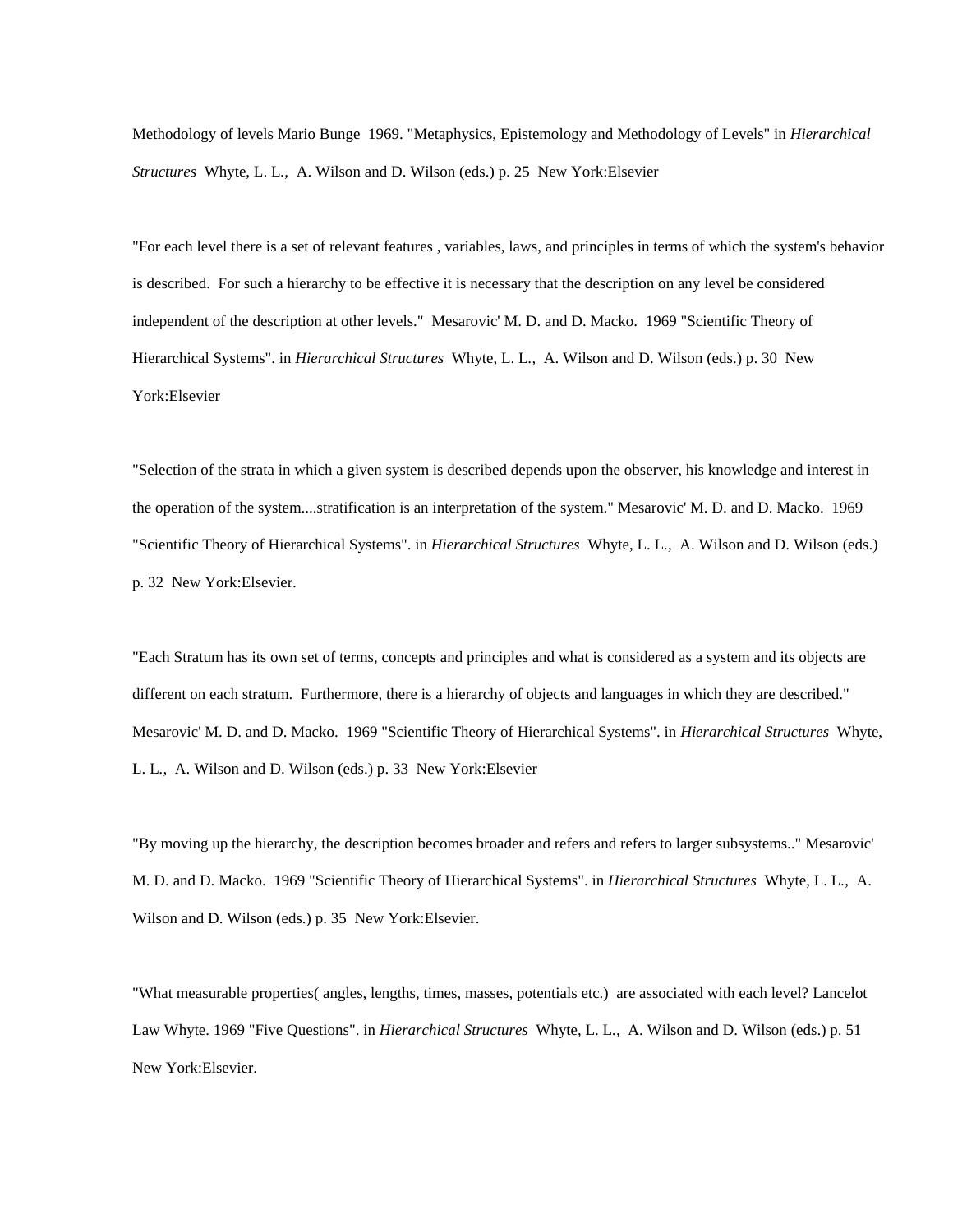Methodology of levels Mario Bunge 1969. "Metaphysics, Epistemology and Methodology of Levels" in *Hierarchical Structures* Whyte, L. L*.,* A. Wilson and D. Wilson (eds.) p. 25 New York:Elsevier

"For each level there is a set of relevant features , variables, laws, and principles in terms of which the system's behavior is described. For such a hierarchy to be effective it is necessary that the description on any level be considered independent of the description at other levels." Mesarovic' M. D. and D. Macko. 1969 "Scientific Theory of Hierarchical Systems". in *Hierarchical Structures* Whyte, L. L*.,* A. Wilson and D. Wilson (eds.) p. 30 New York:Elsevier

"Selection of the strata in which a given system is described depends upon the observer, his knowledge and interest in the operation of the system....stratification is an interpretation of the system." Mesarovic' M. D. and D. Macko. 1969 "Scientific Theory of Hierarchical Systems". in *Hierarchical Structures* Whyte, L. L*.,* A. Wilson and D. Wilson (eds.) p. 32 New York:Elsevier.

"Each Stratum has its own set of terms, concepts and principles and what is considered as a system and its objects are different on each stratum. Furthermore, there is a hierarchy of objects and languages in which they are described." Mesarovic' M. D. and D. Macko. 1969 "Scientific Theory of Hierarchical Systems". in *Hierarchical Structures* Whyte, L. L*.,* A. Wilson and D. Wilson (eds.) p. 33 New York:Elsevier

"By moving up the hierarchy, the description becomes broader and refers and refers to larger subsystems.." Mesarovic' M. D. and D. Macko. 1969 "Scientific Theory of Hierarchical Systems". in *Hierarchical Structures* Whyte, L. L*.,* A. Wilson and D. Wilson (eds.) p. 35 New York:Elsevier.

"What measurable properties( angles, lengths, times, masses, potentials etc.) are associated with each level? Lancelot Law Whyte. 1969 "Five Questions". in *Hierarchical Structures* Whyte, L. L*.,* A. Wilson and D. Wilson (eds.) p. 51 New York:Elsevier.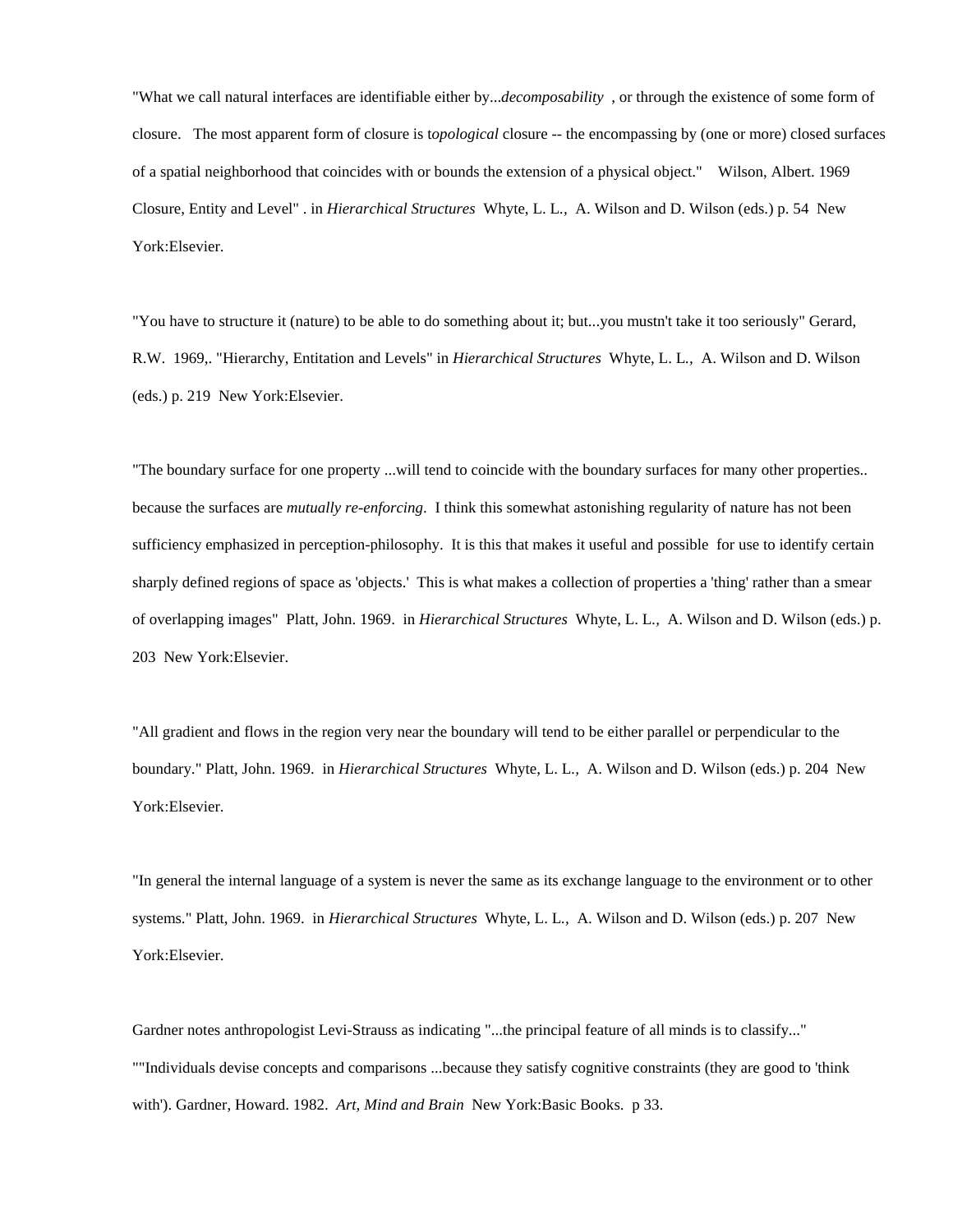"What we call natural interfaces are identifiable either by...*decomposability* , or through the existence of some form of closure. The most apparent form of closure is t*opological* closure -- the encompassing by (one or more) closed surfaces of a spatial neighborhood that coincides with or bounds the extension of a physical object." Wilson, Albert. 1969 Closure, Entity and Level" . in *Hierarchical Structures* Whyte, L. L*.,* A. Wilson and D. Wilson (eds.) p. 54 New York:Elsevier.

"You have to structure it (nature) to be able to do something about it; but...you mustn't take it too seriously" Gerard, R.W. 1969,. "Hierarchy, Entitation and Levels" in *Hierarchical Structures* Whyte, L. L*.,* A. Wilson and D. Wilson (eds.) p. 219 New York:Elsevier.

"The boundary surface for one property ...will tend to coincide with the boundary surfaces for many other properties.. because the surfaces are *mutually re-enforcing*. I think this somewhat astonishing regularity of nature has not been sufficiency emphasized in perception-philosophy. It is this that makes it useful and possible for use to identify certain sharply defined regions of space as 'objects.' This is what makes a collection of properties a 'thing' rather than a smear of overlapping images" Platt, John. 1969. in *Hierarchical Structures* Whyte, L. L*.,* A. Wilson and D. Wilson (eds.) p. 203 New York:Elsevier.

"All gradient and flows in the region very near the boundary will tend to be either parallel or perpendicular to the boundary." Platt, John. 1969. in *Hierarchical Structures* Whyte, L. L*.,* A. Wilson and D. Wilson (eds.) p. 204 New York:Elsevier.

"In general the internal language of a system is never the same as its exchange language to the environment or to other systems." Platt, John. 1969. in *Hierarchical Structures* Whyte, L. L*.,* A. Wilson and D. Wilson (eds.) p. 207 New York:Elsevier.

Gardner notes anthropologist Levi-Strauss as indicating "...the principal feature of all minds is to classify..." ""Individuals devise concepts and comparisons ...because they satisfy cognitive constraints (they are good to 'think with'). Gardner, Howard. 1982. *Art, Mind and Brain* New York:Basic Books. p 33.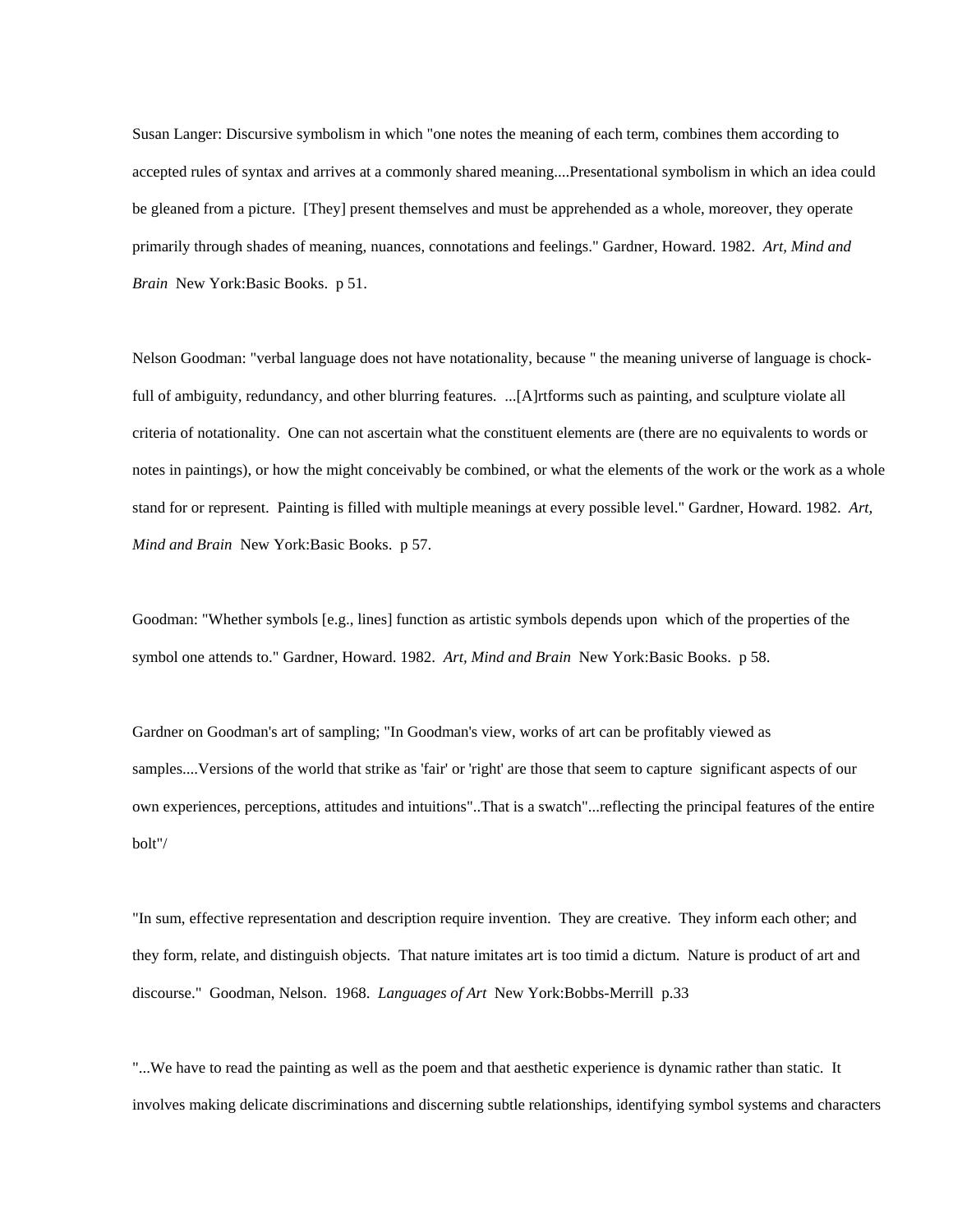Susan Langer: Discursive symbolism in which "one notes the meaning of each term, combines them according to accepted rules of syntax and arrives at a commonly shared meaning....Presentational symbolism in which an idea could be gleaned from a picture. [They] present themselves and must be apprehended as a whole, moreover, they operate primarily through shades of meaning, nuances, connotations and feelings." Gardner, Howard. 1982. *Art, Mind and Brain* New York:Basic Books. p 51.

Nelson Goodman: "verbal language does not have notationality, because " the meaning universe of language is chockfull of ambiguity, redundancy, and other blurring features. ...[A]rtforms such as painting, and sculpture violate all criteria of notationality. One can not ascertain what the constituent elements are (there are no equivalents to words or notes in paintings), or how the might conceivably be combined, or what the elements of the work or the work as a whole stand for or represent. Painting is filled with multiple meanings at every possible level." Gardner, Howard. 1982. *Art, Mind and Brain* New York:Basic Books. p 57.

Goodman: "Whether symbols [e.g., lines] function as artistic symbols depends upon which of the properties of the symbol one attends to." Gardner, Howard. 1982. *Art, Mind and Brain* New York:Basic Books. p 58.

Gardner on Goodman's art of sampling; "In Goodman's view, works of art can be profitably viewed as samples....Versions of the world that strike as 'fair' or 'right' are those that seem to capture significant aspects of our own experiences, perceptions, attitudes and intuitions"..That is a swatch"...reflecting the principal features of the entire bolt"/

"In sum, effective representation and description require invention. They are creative. They inform each other; and they form, relate, and distinguish objects. That nature imitates art is too timid a dictum. Nature is product of art and discourse." Goodman, Nelson. 1968. *Languages of Art* New York:Bobbs-Merrill p.33

"...We have to read the painting as well as the poem and that aesthetic experience is dynamic rather than static. It involves making delicate discriminations and discerning subtle relationships, identifying symbol systems and characters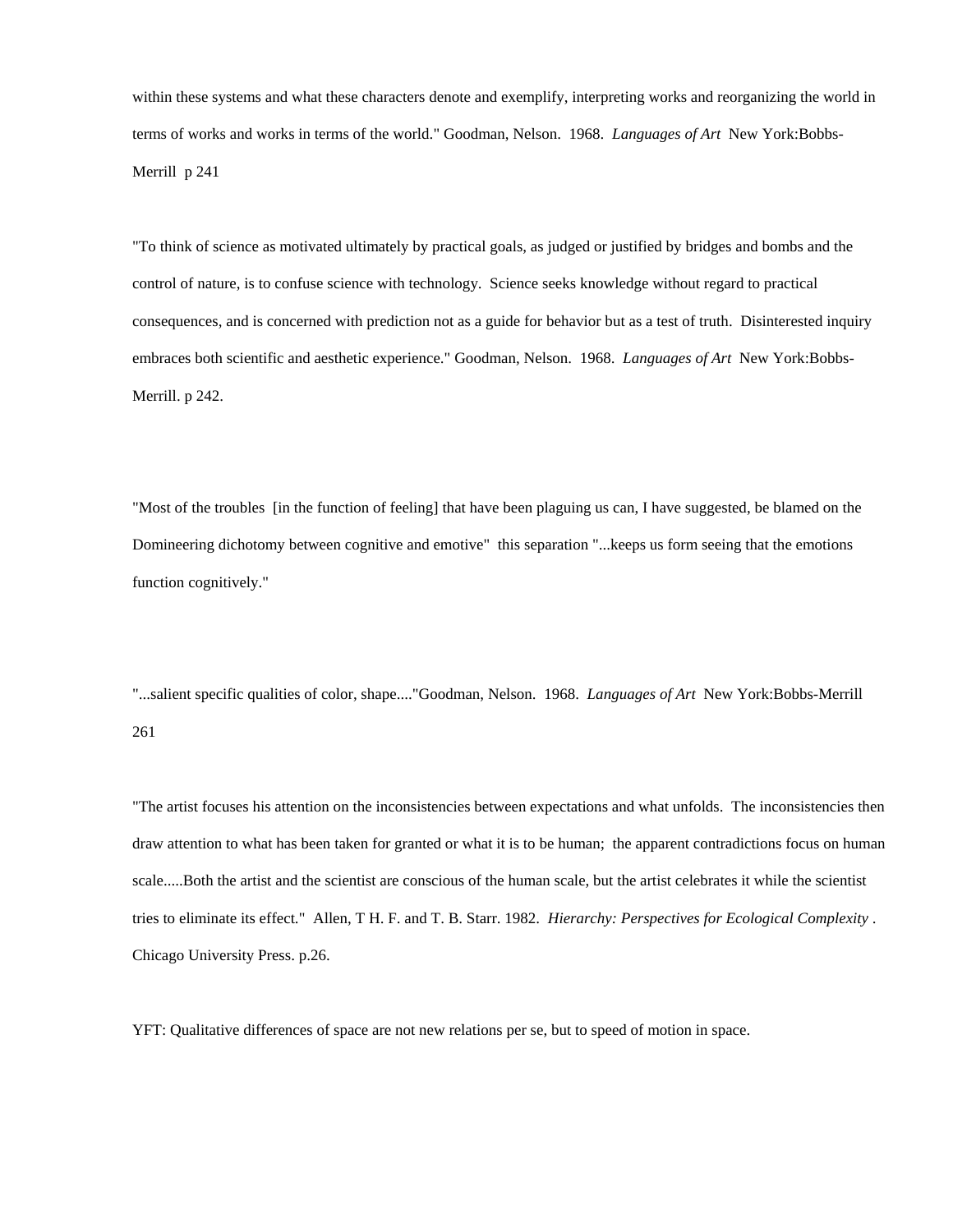within these systems and what these characters denote and exemplify, interpreting works and reorganizing the world in terms of works and works in terms of the world." Goodman, Nelson. 1968. *Languages of Art* New York:Bobbs-Merrill p 241

"To think of science as motivated ultimately by practical goals, as judged or justified by bridges and bombs and the control of nature, is to confuse science with technology. Science seeks knowledge without regard to practical consequences, and is concerned with prediction not as a guide for behavior but as a test of truth. Disinterested inquiry embraces both scientific and aesthetic experience." Goodman, Nelson. 1968. *Languages of Art* New York:Bobbs-Merrill. p 242.

"Most of the troubles [in the function of feeling] that have been plaguing us can, I have suggested, be blamed on the Domineering dichotomy between cognitive and emotive" this separation "...keeps us form seeing that the emotions function cognitively."

"...salient specific qualities of color, shape...."Goodman, Nelson. 1968. *Languages of Art* New York:Bobbs-Merrill 261

"The artist focuses his attention on the inconsistencies between expectations and what unfolds. The inconsistencies then draw attention to what has been taken for granted or what it is to be human; the apparent contradictions focus on human scale.....Both the artist and the scientist are conscious of the human scale, but the artist celebrates it while the scientist tries to eliminate its effect." Allen, T H. F. and T. B. Starr. 1982. *Hierarchy: Perspectives for Ecological Complexity* . Chicago University Press. p.26.

YFT: Qualitative differences of space are not new relations per se, but to speed of motion in space.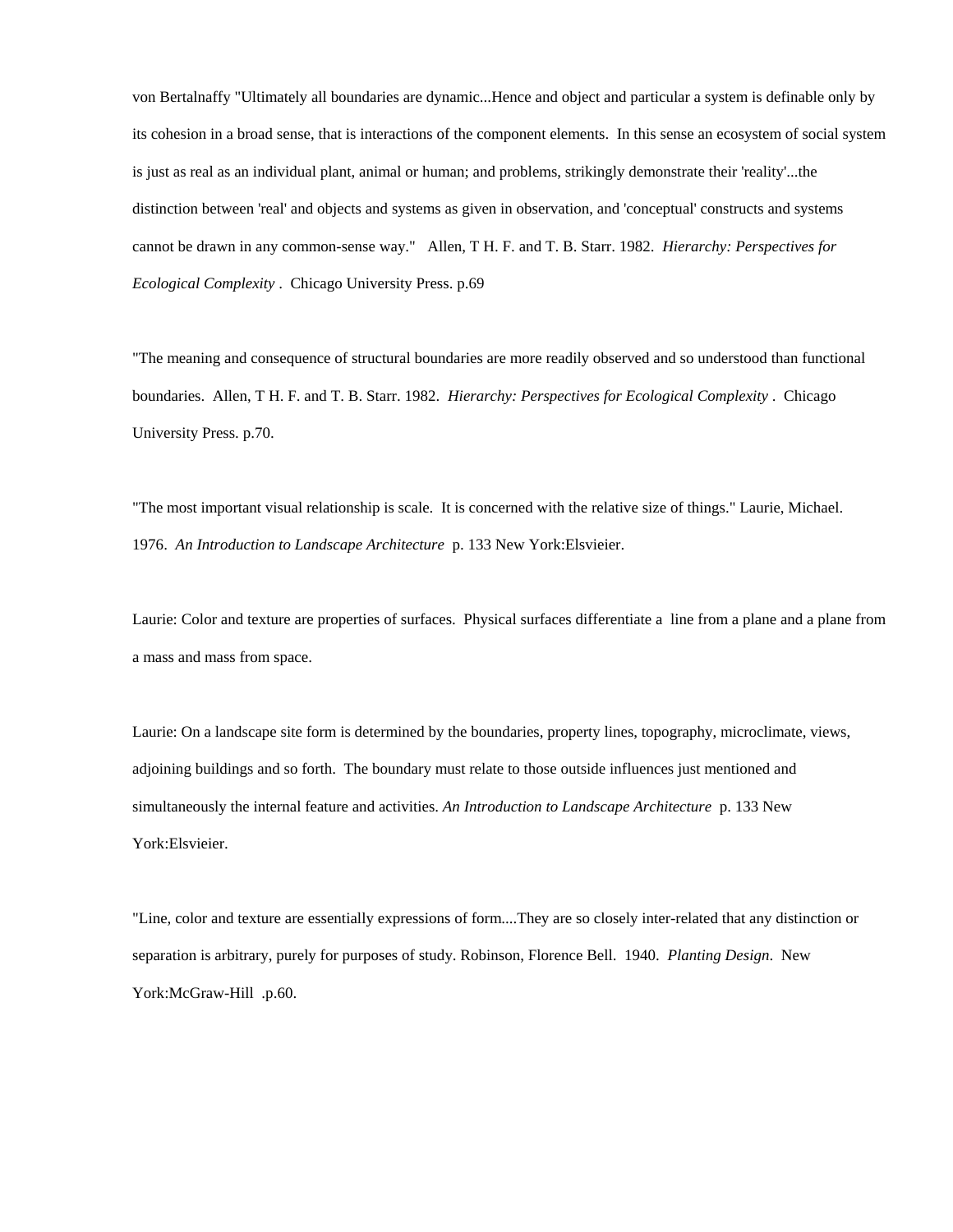von Bertalnaffy "Ultimately all boundaries are dynamic...Hence and object and particular a system is definable only by its cohesion in a broad sense, that is interactions of the component elements. In this sense an ecosystem of social system is just as real as an individual plant, animal or human; and problems, strikingly demonstrate their 'reality'...the distinction between 'real' and objects and systems as given in observation, and 'conceptual' constructs and systems cannot be drawn in any common-sense way." Allen, T H. F. and T. B. Starr. 1982. *Hierarchy: Perspectives for Ecological Complexity* . Chicago University Press. p.69

"The meaning and consequence of structural boundaries are more readily observed and so understood than functional boundaries. Allen, T H. F. and T. B. Starr. 1982. *Hierarchy: Perspectives for Ecological Complexity* . Chicago University Press. p.70.

"The most important visual relationship is scale. It is concerned with the relative size of things." Laurie, Michael. 1976. *An Introduction to Landscape Architecture* p. 133 New York:Elsvieier.

Laurie: Color and texture are properties of surfaces. Physical surfaces differentiate a line from a plane and a plane from a mass and mass from space.

Laurie: On a landscape site form is determined by the boundaries, property lines, topography, microclimate, views, adjoining buildings and so forth. The boundary must relate to those outside influences just mentioned and simultaneously the internal feature and activities. *An Introduction to Landscape Architecture* p. 133 New York:Elsvieier.

"Line, color and texture are essentially expressions of form....They are so closely inter-related that any distinction or separation is arbitrary, purely for purposes of study. Robinson, Florence Bell. 1940. *Planting Design*. New York:McGraw-Hill .p.60.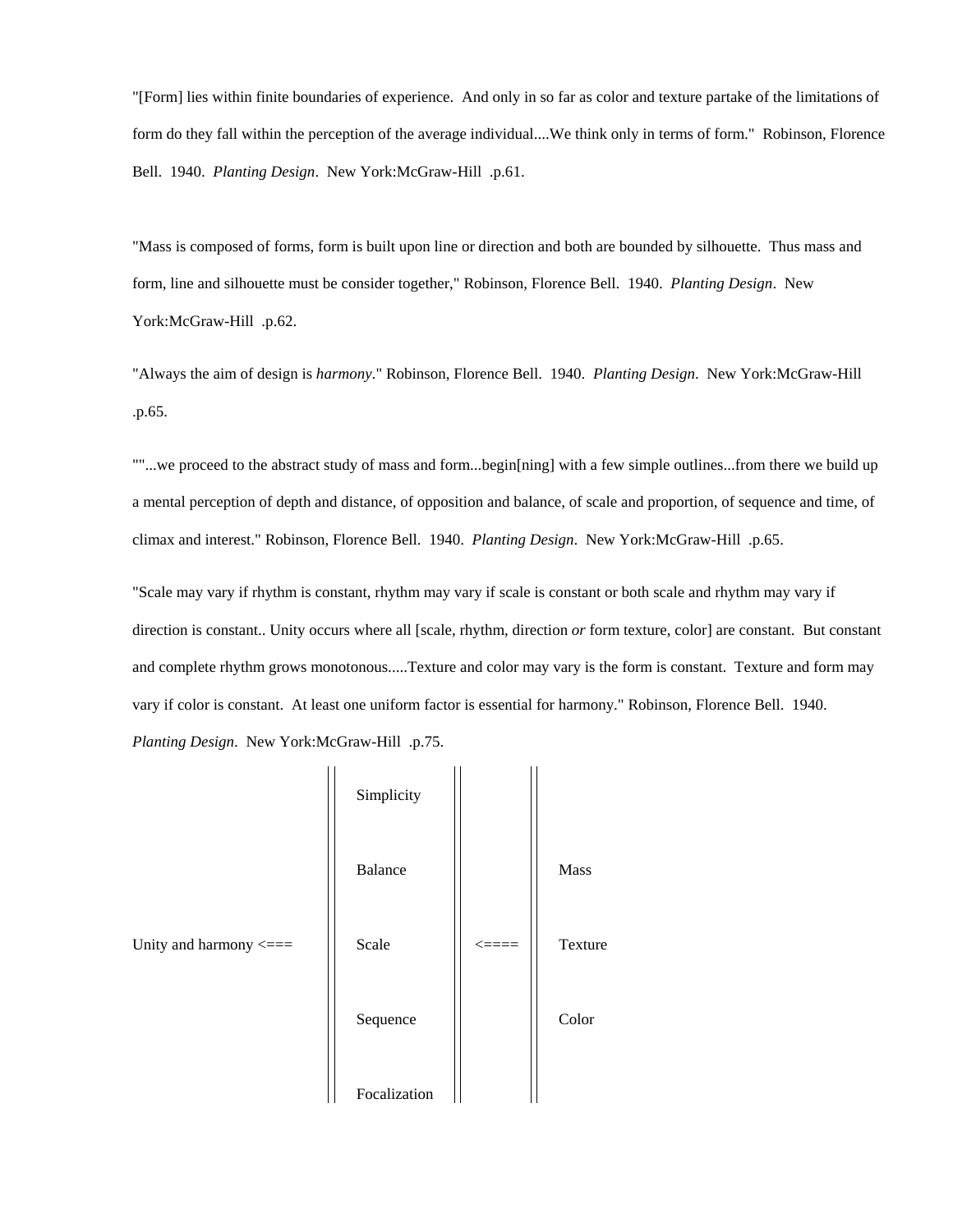"[Form] lies within finite boundaries of experience. And only in so far as color and texture partake of the limitations of form do they fall within the perception of the average individual....We think only in terms of form." Robinson, Florence Bell. 1940. *Planting Design*. New York:McGraw-Hill .p.61.

"Mass is composed of forms, form is built upon line or direction and both are bounded by silhouette. Thus mass and form, line and silhouette must be consider together," Robinson, Florence Bell. 1940. *Planting Design*. New York:McGraw-Hill .p.62.

"Always the aim of design is *harmony*." Robinson, Florence Bell. 1940. *Planting Design*. New York:McGraw-Hill .p.65.

""...we proceed to the abstract study of mass and form...begin[ning] with a few simple outlines...from there we build up a mental perception of depth and distance, of opposition and balance, of scale and proportion, of sequence and time, of climax and interest." Robinson, Florence Bell. 1940. *Planting Design*. New York:McGraw-Hill .p.65.

"Scale may vary if rhythm is constant, rhythm may vary if scale is constant or both scale and rhythm may vary if direction is constant.. Unity occurs where all [scale, rhythm, direction *or* form texture, color] are constant. But constant and complete rhythm grows monotonous.....Texture and color may vary is the form is constant. Texture and form may vary if color is constant. At least one uniform factor is essential for harmony." Robinson, Florence Bell. 1940. *Planting Design*. New York:McGraw-Hill .p.75.

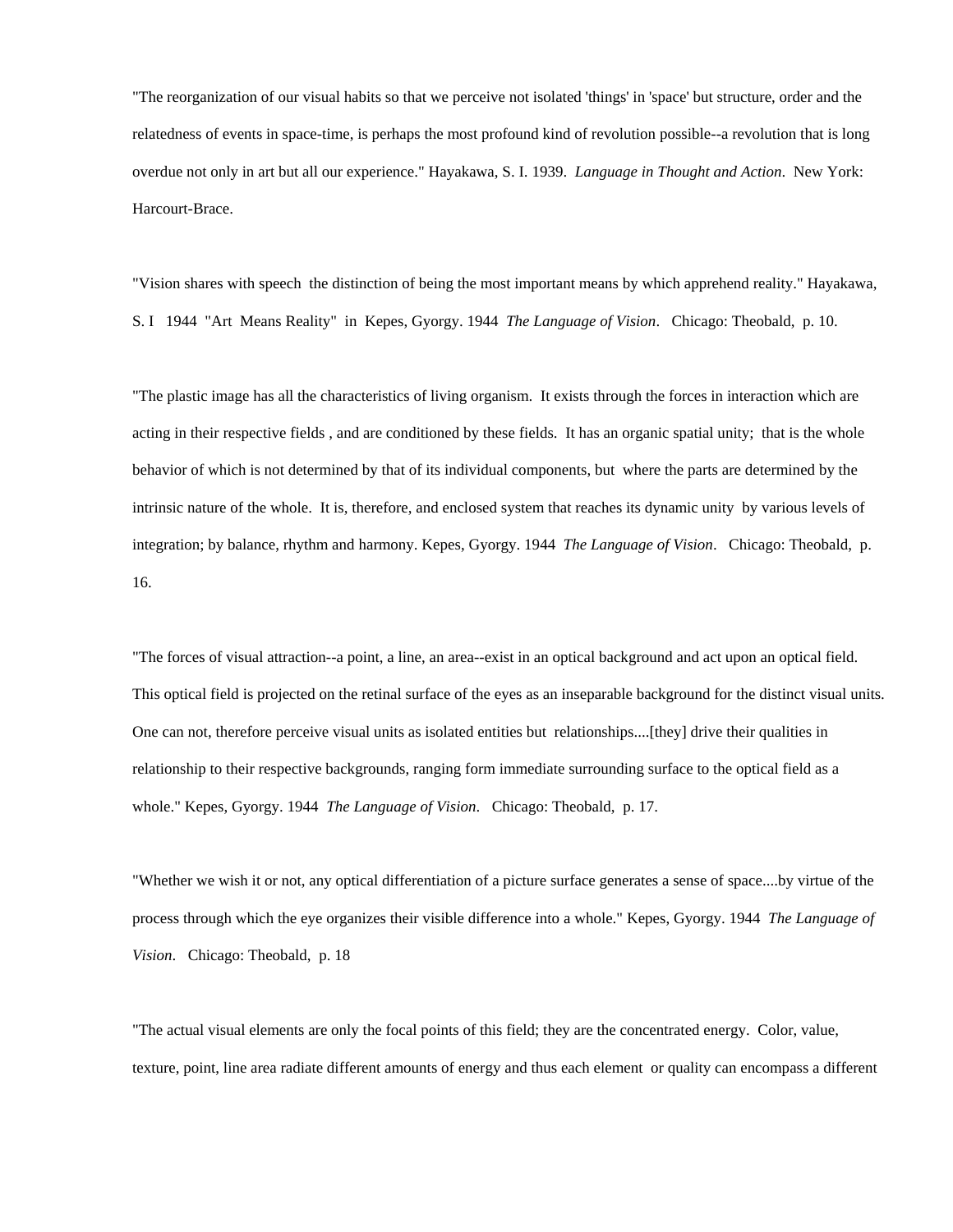"The reorganization of our visual habits so that we perceive not isolated 'things' in 'space' but structure, order and the relatedness of events in space-time, is perhaps the most profound kind of revolution possible--a revolution that is long overdue not only in art but all our experience." Hayakawa, S. I. 1939. *Language in Thought and Action*. New York: Harcourt-Brace.

"Vision shares with speech the distinction of being the most important means by which apprehend reality." Hayakawa, S. I 1944 "Art Means Reality" in Kepes, Gyorgy. 1944 *The Language of Vision*. Chicago: Theobald, p. 10.

"The plastic image has all the characteristics of living organism. It exists through the forces in interaction which are acting in their respective fields , and are conditioned by these fields. It has an organic spatial unity; that is the whole behavior of which is not determined by that of its individual components, but where the parts are determined by the intrinsic nature of the whole. It is, therefore, and enclosed system that reaches its dynamic unity by various levels of integration; by balance, rhythm and harmony. Kepes, Gyorgy. 1944 *The Language of Vision*. Chicago: Theobald, p. 16.

"The forces of visual attraction--a point, a line, an area--exist in an optical background and act upon an optical field. This optical field is projected on the retinal surface of the eyes as an inseparable background for the distinct visual units. One can not, therefore perceive visual units as isolated entities but relationships....[they] drive their qualities in relationship to their respective backgrounds, ranging form immediate surrounding surface to the optical field as a whole." Kepes, Gyorgy. 1944 *The Language of Vision*. Chicago: Theobald, p. 17.

"Whether we wish it or not, any optical differentiation of a picture surface generates a sense of space....by virtue of the process through which the eye organizes their visible difference into a whole." Kepes, Gyorgy. 1944 *The Language of Vision*. Chicago: Theobald, p. 18

"The actual visual elements are only the focal points of this field; they are the concentrated energy. Color, value, texture, point, line area radiate different amounts of energy and thus each element or quality can encompass a different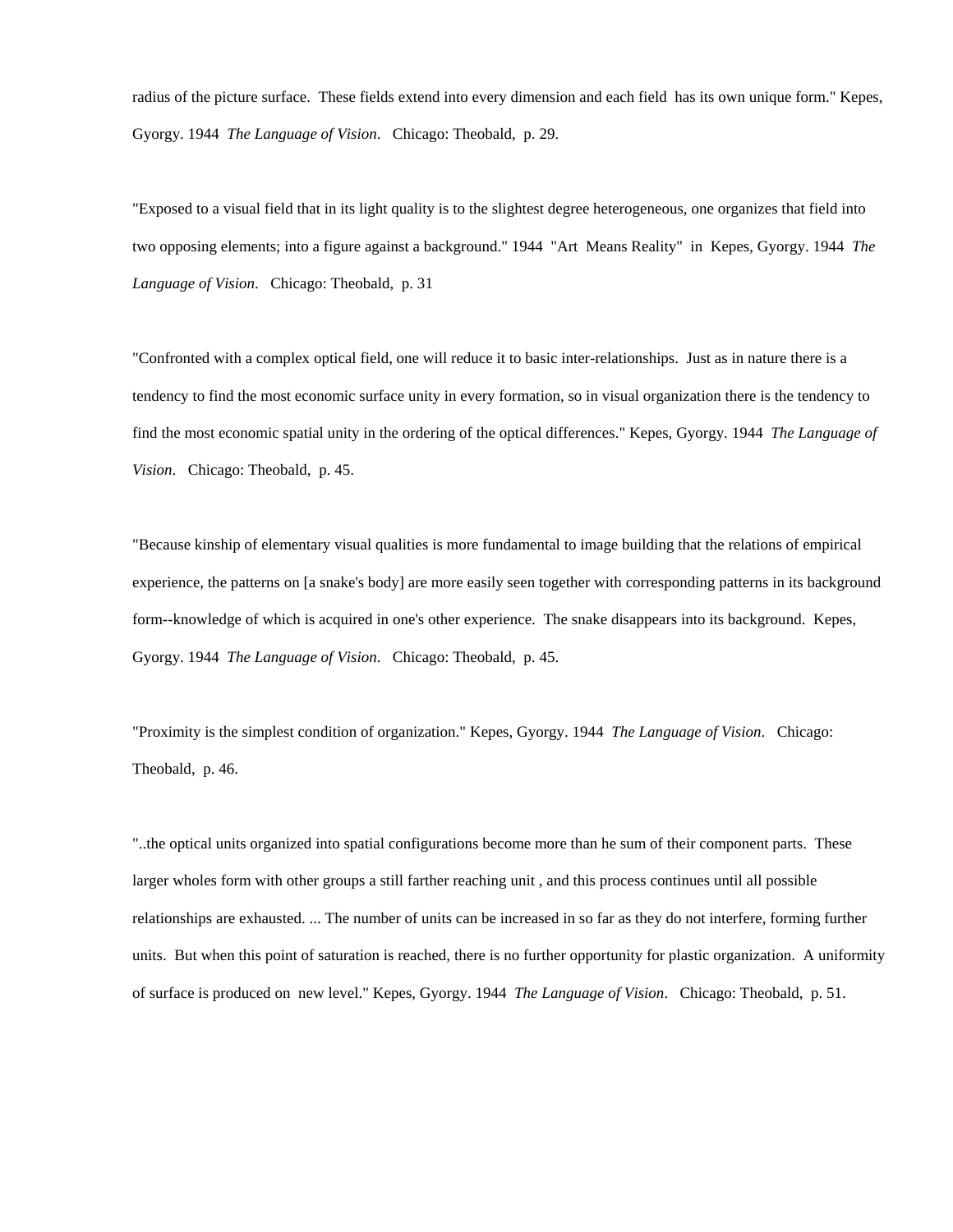radius of the picture surface. These fields extend into every dimension and each field has its own unique form." Kepes, Gyorgy. 1944 *The Language of Vision*. Chicago: Theobald, p. 29.

"Exposed to a visual field that in its light quality is to the slightest degree heterogeneous, one organizes that field into two opposing elements; into a figure against a background." 1944 "Art Means Reality" in Kepes, Gyorgy. 1944 *The Language of Vision*. Chicago: Theobald, p. 31

"Confronted with a complex optical field, one will reduce it to basic inter-relationships. Just as in nature there is a tendency to find the most economic surface unity in every formation, so in visual organization there is the tendency to find the most economic spatial unity in the ordering of the optical differences." Kepes, Gyorgy. 1944 *The Language of Vision*. Chicago: Theobald, p. 45.

"Because kinship of elementary visual qualities is more fundamental to image building that the relations of empirical experience, the patterns on [a snake's body] are more easily seen together with corresponding patterns in its background form--knowledge of which is acquired in one's other experience. The snake disappears into its background. Kepes, Gyorgy. 1944 *The Language of Vision*. Chicago: Theobald, p. 45.

"Proximity is the simplest condition of organization." Kepes, Gyorgy. 1944 *The Language of Vision*. Chicago: Theobald, p. 46.

"..the optical units organized into spatial configurations become more than he sum of their component parts. These larger wholes form with other groups a still farther reaching unit , and this process continues until all possible relationships are exhausted. ... The number of units can be increased in so far as they do not interfere, forming further units. But when this point of saturation is reached, there is no further opportunity for plastic organization. A uniformity of surface is produced on new level." Kepes, Gyorgy. 1944 *The Language of Vision*. Chicago: Theobald, p. 51.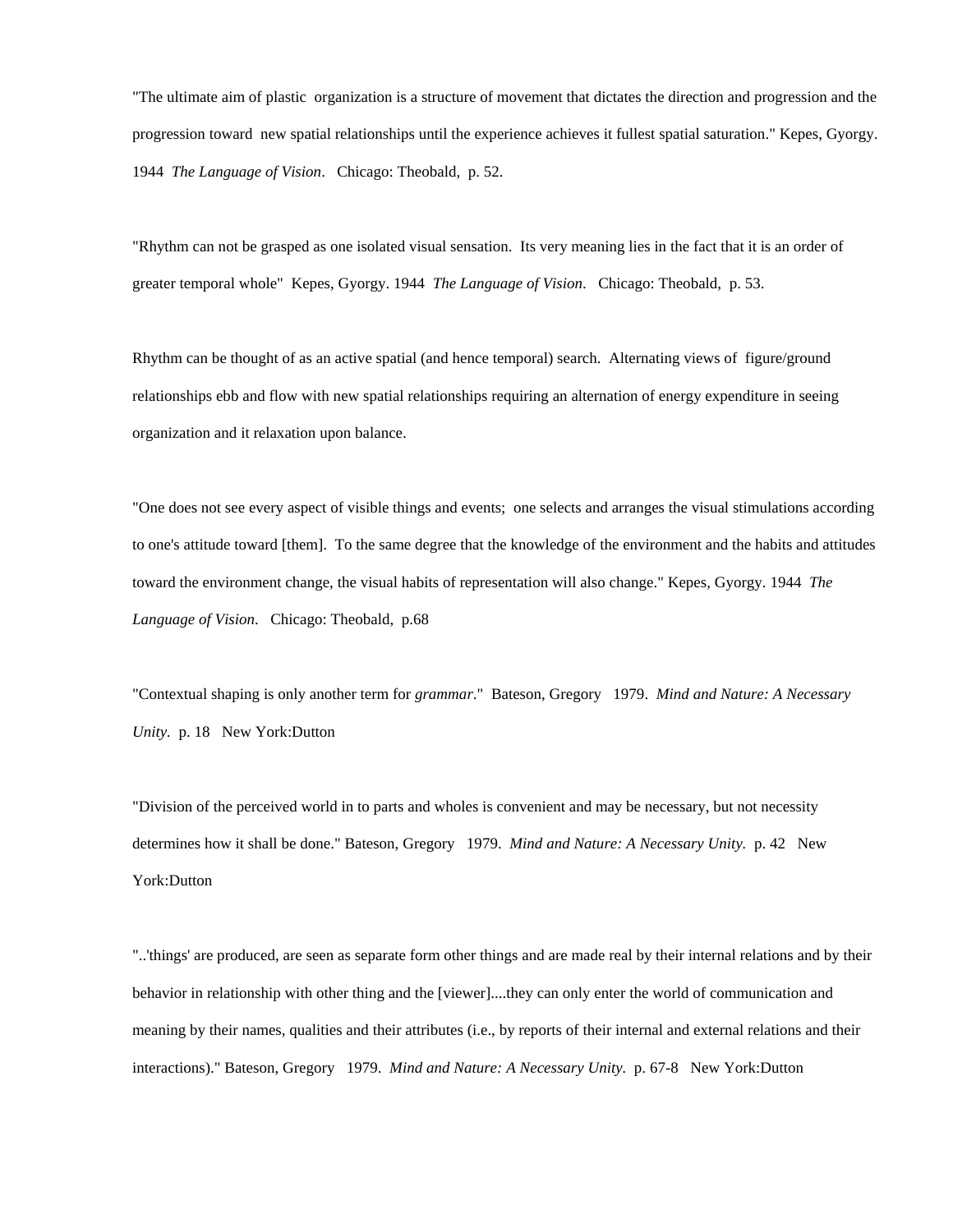"The ultimate aim of plastic organization is a structure of movement that dictates the direction and progression and the progression toward new spatial relationships until the experience achieves it fullest spatial saturation." Kepes, Gyorgy. 1944 *The Language of Vision*. Chicago: Theobald, p. 52.

"Rhythm can not be grasped as one isolated visual sensation. Its very meaning lies in the fact that it is an order of greater temporal whole" Kepes, Gyorgy. 1944 *The Language of Vision*. Chicago: Theobald, p. 53.

Rhythm can be thought of as an active spatial (and hence temporal) search. Alternating views of figure/ground relationships ebb and flow with new spatial relationships requiring an alternation of energy expenditure in seeing organization and it relaxation upon balance.

"One does not see every aspect of visible things and events; one selects and arranges the visual stimulations according to one's attitude toward [them]. To the same degree that the knowledge of the environment and the habits and attitudes toward the environment change, the visual habits of representation will also change." Kepes, Gyorgy. 1944 *The Language of Vision*. Chicago: Theobald, p.68

"Contextual shaping is only another term for *grammar*." Bateson, Gregory 1979. *Mind and Nature: A Necessary Unity.* p. 18 New York:Dutton

"Division of the perceived world in to parts and wholes is convenient and may be necessary, but not necessity determines how it shall be done." Bateson, Gregory 1979. *Mind and Nature: A Necessary Unity.* p. 42 New York:Dutton

"..'things' are produced, are seen as separate form other things and are made real by their internal relations and by their behavior in relationship with other thing and the [viewer]....they can only enter the world of communication and meaning by their names, qualities and their attributes (i.e., by reports of their internal and external relations and their interactions)." Bateson, Gregory 1979. *Mind and Nature: A Necessary Unity.* p. 67-8 New York:Dutton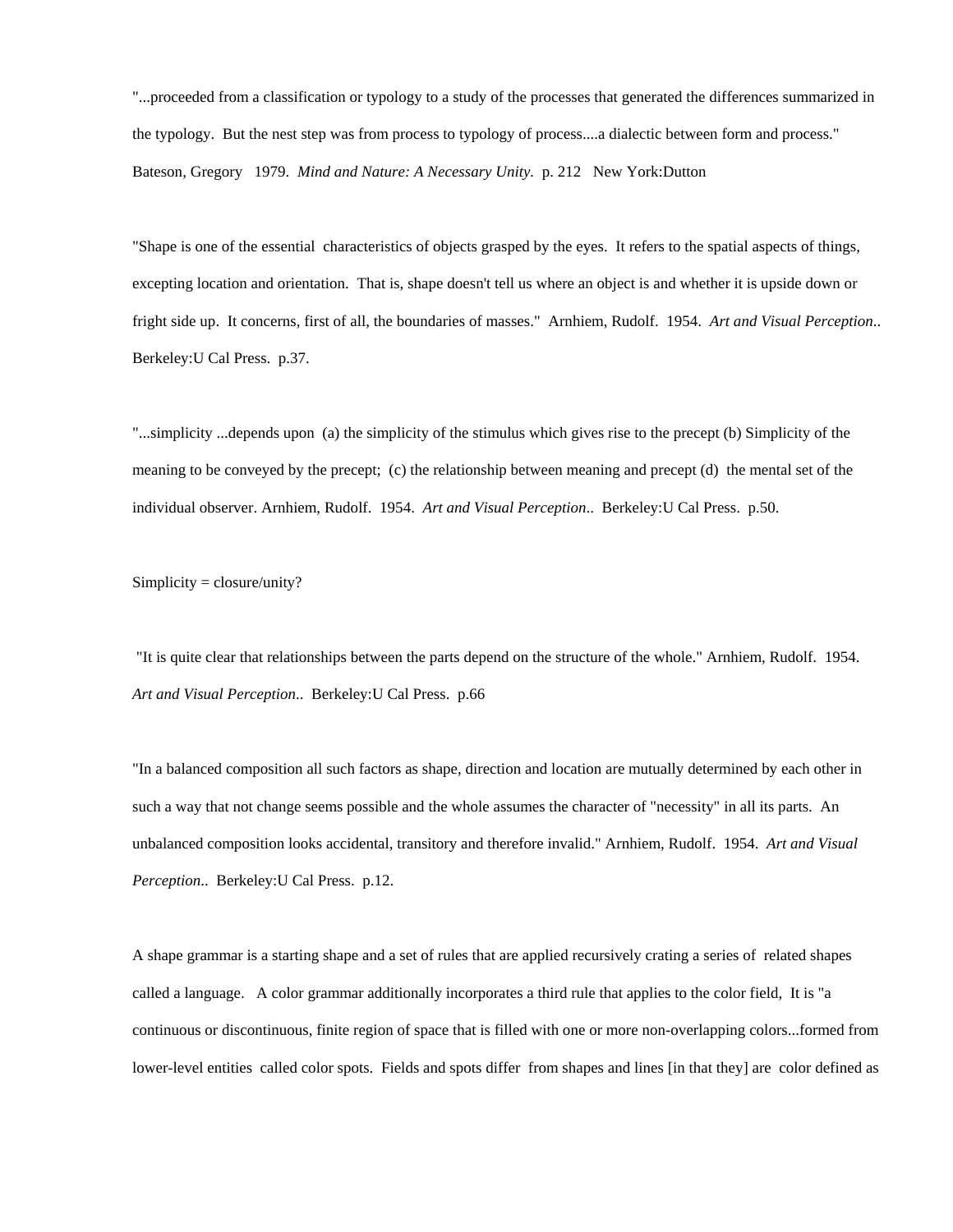"...proceeded from a classification or typology to a study of the processes that generated the differences summarized in the typology. But the nest step was from process to typology of process....a dialectic between form and process." Bateson, Gregory 1979. *Mind and Nature: A Necessary Unity.* p. 212 New York:Dutton

"Shape is one of the essential characteristics of objects grasped by the eyes. It refers to the spatial aspects of things, excepting location and orientation. That is, shape doesn't tell us where an object is and whether it is upside down or fright side up. It concerns, first of all, the boundaries of masses." Arnhiem, Rudolf. 1954. *Art and Visual Perception*.. Berkeley:U Cal Press. p.37.

"...simplicity ...depends upon (a) the simplicity of the stimulus which gives rise to the precept (b) Simplicity of the meaning to be conveyed by the precept; (c) the relationship between meaning and precept (d) the mental set of the individual observer. Arnhiem, Rudolf. 1954. *Art and Visual Perception*.. Berkeley:U Cal Press. p.50.

Simplicity = closure/unity?

 "It is quite clear that relationships between the parts depend on the structure of the whole." Arnhiem, Rudolf. 1954. *Art and Visual Perception*.. Berkeley:U Cal Press. p.66

"In a balanced composition all such factors as shape, direction and location are mutually determined by each other in such a way that not change seems possible and the whole assumes the character of "necessity" in all its parts. An unbalanced composition looks accidental, transitory and therefore invalid." Arnhiem, Rudolf. 1954. *Art and Visual Perception*.. Berkeley:U Cal Press. p.12.

A shape grammar is a starting shape and a set of rules that are applied recursively crating a series of related shapes called a language. A color grammar additionally incorporates a third rule that applies to the color field, It is "a continuous or discontinuous, finite region of space that is filled with one or more non-overlapping colors...formed from lower-level entities called color spots. Fields and spots differ from shapes and lines [in that they] are color defined as